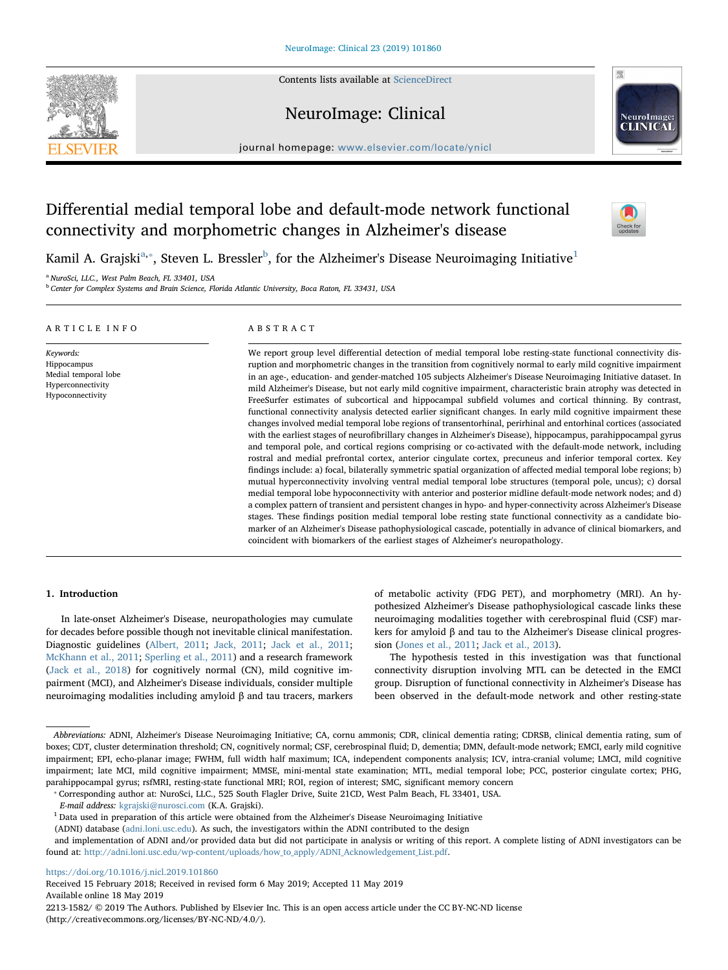Contents lists available at [ScienceDirect](http://www.sciencedirect.com/science/journal/22131582)







journal homepage: [www.elsevier.com/locate/ynicl](https://www.elsevier.com/locate/ynicl)

# Differential medial temporal lobe and default-mode network functional connectivity and morphometric changes in Alzheimer's disease



K[a](#page-0-0)mil A. Grajski $^{\rm a, *},$  Steven L. Bressler $^{\rm b}$  $^{\rm b}$  $^{\rm b}$ , for the Alzheimer's Disease Neuroimaging Initiative $^{\rm 1}$  $^{\rm 1}$  $^{\rm 1}$ 

<span id="page-0-0"></span><sup>a</sup> NuroSci, LLC., West Palm Beach, FL 33401, USA

<span id="page-0-2"></span><sup>b</sup> Center for Complex Systems and Brain Science, Florida Atlantic University, Boca Raton, FL 33431, USA

| ARTICLE INFO                                                                              | ABSTRACT                                                                                                                                                                                                                                                                                                                                                                                                                                                                                                                                                                                                                                                                                                                                                                                                                                                                                                                                                                                                                                                                                                                                                                                                                                                                                                                                                                                                                                                                                                                                                                                                                                                                                                                                                                                                                                                                                     |
|-------------------------------------------------------------------------------------------|----------------------------------------------------------------------------------------------------------------------------------------------------------------------------------------------------------------------------------------------------------------------------------------------------------------------------------------------------------------------------------------------------------------------------------------------------------------------------------------------------------------------------------------------------------------------------------------------------------------------------------------------------------------------------------------------------------------------------------------------------------------------------------------------------------------------------------------------------------------------------------------------------------------------------------------------------------------------------------------------------------------------------------------------------------------------------------------------------------------------------------------------------------------------------------------------------------------------------------------------------------------------------------------------------------------------------------------------------------------------------------------------------------------------------------------------------------------------------------------------------------------------------------------------------------------------------------------------------------------------------------------------------------------------------------------------------------------------------------------------------------------------------------------------------------------------------------------------------------------------------------------------|
| Keywords:<br>Hippocampus<br>Medial temporal lobe<br>Hyperconnectivity<br>Hypoconnectivity | We report group level differential detection of medial temporal lobe resting-state functional connectivity dis-<br>ruption and morphometric changes in the transition from cognitively normal to early mild cognitive impairment<br>in an age-, education- and gender-matched 105 subjects Alzheimer's Disease Neuroimaging Initiative dataset. In<br>mild Alzheimer's Disease, but not early mild cognitive impairment, characteristic brain atrophy was detected in<br>FreeSurfer estimates of subcortical and hippocampal subfield volumes and cortical thinning. By contrast,<br>functional connectivity analysis detected earlier significant changes. In early mild cognitive impairment these<br>changes involved medial temporal lobe regions of transentorhinal, perirhinal and entorhinal cortices (associated<br>with the earliest stages of neurofibrillary changes in Alzheimer's Disease), hippocampus, parahippocampal gyrus<br>and temporal pole, and cortical regions comprising or co-activated with the default-mode network, including<br>rostral and medial prefrontal cortex, anterior cingulate cortex, precuneus and inferior temporal cortex. Key<br>findings include: a) focal, bilaterally symmetric spatial organization of affected medial temporal lobe regions; b)<br>mutual hyperconnectivity involving ventral medial temporal lobe structures (temporal pole, uncus); c) dorsal<br>medial temporal lobe hypoconnectivity with anterior and posterior midline default-mode network nodes; and d)<br>a complex pattern of transient and persistent changes in hypo- and hyper-connectivity across Alzheimer's Disease<br>stages. These findings position medial temporal lobe resting state functional connectivity as a candidate bio-<br>produce of an Alphoimar's Discoso pathophysiological cossode, patentially in advance of elinical hiemarlyons, and |

marker of an Alzheimer's Disease pathophysiological cascade, potentially in advance of clinical biomarkers, and coincident with biomarkers of the earliest stages of Alzheimer's neuropathology.

# 1. Introduction

In late-onset Alzheimer's Disease, neuropathologies may cumulate for decades before possible though not inevitable clinical manifestation. Diagnostic guidelines [\(Albert, 2011;](#page-11-0) [Jack, 2011;](#page-12-0) [Jack et al., 2011](#page-12-1); [McKhann et al., 2011;](#page-12-2) [Sperling et al., 2011\)](#page-12-3) and a research framework ([Jack et al., 2018](#page-12-4)) for cognitively normal (CN), mild cognitive impairment (MCI), and Alzheimer's Disease individuals, consider multiple neuroimaging modalities including amyloid β and tau tracers, markers

of metabolic activity (FDG PET), and morphometry (MRI). An hypothesized Alzheimer's Disease pathophysiological cascade links these neuroimaging modalities together with cerebrospinal fluid (CSF) markers for amyloid β and tau to the Alzheimer's Disease clinical progression ([Jones et al., 2011;](#page-12-5) [Jack et al., 2013](#page-12-6)).

The hypothesis tested in this investigation was that functional connectivity disruption involving MTL can be detected in the EMCI group. Disruption of functional connectivity in Alzheimer's Disease has been observed in the default-mode network and other resting-state

Abbreviations: ADNI, Alzheimer's Disease Neuroimaging Initiative; CA, cornu ammonis; CDR, clinical dementia rating; CDRSB, clinical dementia rating, sum of boxes; CDT, cluster determination threshold; CN, cognitively normal; CSF, cerebrospinal fluid; D, dementia; DMN, default-mode network; EMCI, early mild cognitive impairment; EPI, echo-planar image; FWHM, full width half maximum; ICA, independent components analysis; ICV, intra-cranial volume; LMCI, mild cognitive impairment; late MCI, mild cognitive impairment; MMSE, mini-mental state examination; MTL, medial temporal lobe; PCC, posterior cingulate cortex; PHG, parahippocampal gyrus; rsfMRI, resting-state functional MRI; ROI, region of interest; SMC, significant memory concern

<span id="page-0-1"></span>⁎ Corresponding author at: NuroSci, LLC., 525 South Flagler Drive, Suite 21CD, West Palm Beach, FL 33401, USA.

E-mail address: [kgrajski@nurosci.com](mailto:kgrajski@nurosci.com) (K.A. Grajski).

<span id="page-0-3"></span> $1$  Data used in preparation of this article were obtained from the Alzheimer's Disease Neuroimaging Initiative

(ADNI) database ([adni.loni.usc.edu\)](http://adni.loni.usc.edu). As such, the investigators within the ADNI contributed to the design

and implementation of ADNI and/or provided data but did not participate in analysis or writing of this report. A complete listing of ADNI investigators can be found at: [http://adni.loni.usc.edu/wp-content/uploads/how\\_to\\_apply/ADNI\\_Acknowledgement\\_List.pdf](http://adni.loni.usc.edu/wp-content/uploads/how_to_apply/ADNI_Acknowledgement_List.pdf).

<https://doi.org/10.1016/j.nicl.2019.101860>

Received 15 February 2018; Received in revised form 6 May 2019; Accepted 11 May 2019 Available online 18 May 2019

2213-1582/ © 2019 The Authors. Published by Elsevier Inc. This is an open access article under the CC BY-NC-ND license (http://creativecommons.org/licenses/BY-NC-ND/4.0/).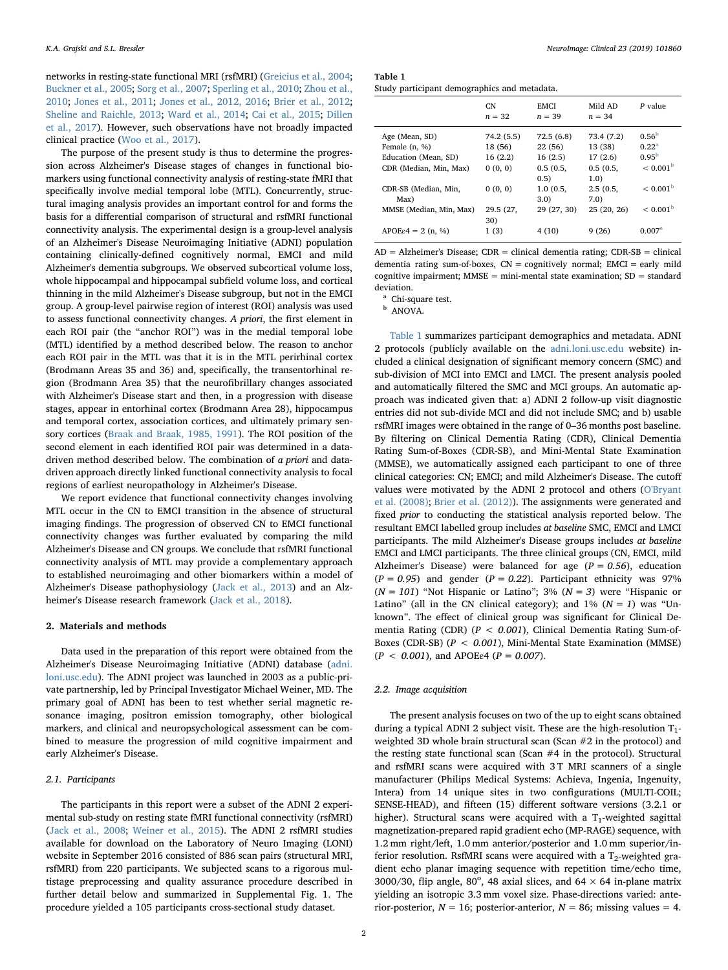networks in resting-state functional MRI (rsfMRI) ([Greicius et al., 2004](#page-12-7); [Buckner et al., 2005](#page-12-8); [Sorg et al., 2007;](#page-12-9) [Sperling et al., 2010;](#page-12-10) [Zhou et al.,](#page-12-11) [2010;](#page-12-11) [Jones et al., 2011;](#page-12-5) [Jones et al., 2012, 2016;](#page-12-12) [Brier et al., 2012](#page-12-13); [Sheline and Raichle, 2013](#page-12-14); [Ward et al., 2014;](#page-12-15) [Cai et al., 2015](#page-12-16); [Dillen](#page-12-17) [et al., 2017](#page-12-17)). However, such observations have not broadly impacted clinical practice ([Woo et al., 2017](#page-12-18)).

The purpose of the present study is thus to determine the progression across Alzheimer's Disease stages of changes in functional biomarkers using functional connectivity analysis of resting-state fMRI that specifically involve medial temporal lobe (MTL). Concurrently, structural imaging analysis provides an important control for and forms the basis for a differential comparison of structural and rsfMRI functional connectivity analysis. The experimental design is a group-level analysis of an Alzheimer's Disease Neuroimaging Initiative (ADNI) population containing clinically-defined cognitively normal, EMCI and mild Alzheimer's dementia subgroups. We observed subcortical volume loss, whole hippocampal and hippocampal subfield volume loss, and cortical thinning in the mild Alzheimer's Disease subgroup, but not in the EMCI group. A group-level pairwise region of interest (ROI) analysis was used to assess functional connectivity changes. A priori, the first element in each ROI pair (the "anchor ROI") was in the medial temporal lobe (MTL) identified by a method described below. The reason to anchor each ROI pair in the MTL was that it is in the MTL perirhinal cortex (Brodmann Areas 35 and 36) and, specifically, the transentorhinal region (Brodmann Area 35) that the neurofibrillary changes associated with Alzheimer's Disease start and then, in a progression with disease stages, appear in entorhinal cortex (Brodmann Area 28), hippocampus and temporal cortex, association cortices, and ultimately primary sensory cortices ([Braak and Braak, 1985, 1991\)](#page-12-19). The ROI position of the second element in each identified ROI pair was determined in a datadriven method described below. The combination of a priori and datadriven approach directly linked functional connectivity analysis to focal regions of earliest neuropathology in Alzheimer's Disease.

We report evidence that functional connectivity changes involving MTL occur in the CN to EMCI transition in the absence of structural imaging findings. The progression of observed CN to EMCI functional connectivity changes was further evaluated by comparing the mild Alzheimer's Disease and CN groups. We conclude that rsfMRI functional connectivity analysis of MTL may provide a complementary approach to established neuroimaging and other biomarkers within a model of Alzheimer's Disease pathophysiology ([Jack et al., 2013](#page-12-6)) and an Alzheimer's Disease research framework ([Jack et al., 2018\)](#page-12-4).

#### 2. Materials and methods

Data used in the preparation of this report were obtained from the Alzheimer's Disease Neuroimaging Initiative (ADNI) database ([adni.](http://adni.loni.usc.edu) [loni.usc.edu](http://adni.loni.usc.edu)). The ADNI project was launched in 2003 as a public-private partnership, led by Principal Investigator Michael Weiner, MD. The primary goal of ADNI has been to test whether serial magnetic resonance imaging, positron emission tomography, other biological markers, and clinical and neuropsychological assessment can be combined to measure the progression of mild cognitive impairment and early Alzheimer's Disease.

#### 2.1. Participants

The participants in this report were a subset of the ADNI 2 experimental sub-study on resting state fMRI functional connectivity (rsfMRI) ([Jack et al., 2008;](#page-12-20) [Weiner et al., 2015](#page-12-21)). The ADNI 2 rsfMRI studies available for download on the Laboratory of Neuro Imaging (LONI) website in September 2016 consisted of 886 scan pairs (structural MRI, rsfMRI) from 220 participants. We subjected scans to a rigorous multistage preprocessing and quality assurance procedure described in further detail below and summarized in Supplemental Fig. 1. The procedure yielded a 105 participants cross-sectional study dataset.

<span id="page-1-0"></span>Table 1

| Study participant demographics and metadata. |
|----------------------------------------------|
|----------------------------------------------|

|                                         | CN.<br>$n = 32$    | <b>EMCI</b><br>$n = 39$ | Mild AD<br>$n = 34$ | P value                             |
|-----------------------------------------|--------------------|-------------------------|---------------------|-------------------------------------|
| Age (Mean, SD)                          | 74.2 (5.5)         | 72.5(6.8)               | 73.4 (7.2)          | 0.56 <sup>b</sup><br>$0.22^{\rm a}$ |
| Female $(n, %)$<br>Education (Mean, SD) | 18 (56)<br>16(2.2) | 22 (56)<br>16(2.5)      | 13 (38)<br>17(2.6)  | $0.95^{\rm b}$                      |
| CDR (Median, Min, Max)                  | 0(0, 0)            | 0.5(0.5,<br>0.5)        | 0.5(0.5,<br>1.0)    | $< 0.001^{\rm b}$                   |
| CDR-SB (Median, Min,<br>Max)            | 0(0, 0)            | 1.0(0.5,<br>3.0)        | 2.5(0.5,<br>7.0)    | < 0.001 <sup>b</sup>                |
| MMSE (Median, Min, Max)                 | 29.5 (27,<br>30)   | 29 (27, 30)             | 25(20, 26)          | $< 0.001^{\rm b}$                   |
| $APOE\epsilon 4 = 2$ (n, %)             | 1(3)               | 4(10)                   | 9(26)               | 0.007 <sup>a</sup>                  |

 $AD = Alzheimer's Disease$ ;  $CDR = clinical$  dementia rating;  $CDR-SB = clinical$ dementia rating sum-of-boxes,  $CN =$  cognitively normal;  $EMCI =$  early mild cognitive impairment;  $MMSE = mini$ -mental state examination;  $SD = standard$ deviation.

<span id="page-1-2"></span><sup>a</sup> Chi-square test.

<span id="page-1-1"></span>ANOVA.

[Table 1](#page-1-0) summarizes participant demographics and metadata. ADNI 2 protocols (publicly available on the [adni.loni.usc.edu](http://adni.loni.usc.edu) website) included a clinical designation of significant memory concern (SMC) and sub-division of MCI into EMCI and LMCI. The present analysis pooled and automatically filtered the SMC and MCI groups. An automatic approach was indicated given that: a) ADNI 2 follow-up visit diagnostic entries did not sub-divide MCI and did not include SMC; and b) usable rsfMRI images were obtained in the range of 0–36 months post baseline. By filtering on Clinical Dementia Rating (CDR), Clinical Dementia Rating Sum-of-Boxes (CDR-SB), and Mini-Mental State Examination (MMSE), we automatically assigned each participant to one of three clinical categories: CN; EMCI; and mild Alzheimer's Disease. The cutoff values were motivated by the ADNI 2 protocol and others ([O'Bryant](#page-12-22) [et al. \(2008\);](#page-12-22) [Brier et al. \(2012\)](#page-12-13)). The assignments were generated and fixed prior to conducting the statistical analysis reported below. The resultant EMCI labelled group includes at baseline SMC, EMCI and LMCI participants. The mild Alzheimer's Disease groups includes at baseline EMCI and LMCI participants. The three clinical groups (CN, EMCI, mild Alzheimer's Disease) were balanced for age ( $P = 0.56$ ), education  $(P = 0.95)$  and gender  $(P = 0.22)$ . Participant ethnicity was 97%  $(N = 101)$  "Not Hispanic or Latino"; 3%  $(N = 3)$  were "Hispanic or Latino" (all in the CN clinical category); and  $1\%$  ( $N = 1$ ) was "Unknown". The effect of clinical group was significant for Clinical Dementia Rating (CDR) ( $P < 0.001$ ), Clinical Dementia Rating Sum-of-Boxes (CDR-SB) ( $P < 0.001$ ), Mini-Mental State Examination (MMSE)  $(P < 0.001)$ , and APOE<sub>ε4</sub>  $(P = 0.007)$ .

#### 2.2. Image acquisition

The present analysis focuses on two of the up to eight scans obtained during a typical ADNI 2 subject visit. These are the high-resolution T<sub>1</sub>weighted 3D whole brain structural scan (Scan #2 in the protocol) and the resting state functional scan (Scan #4 in the protocol). Structural and rsfMRI scans were acquired with 3 T MRI scanners of a single manufacturer (Philips Medical Systems: Achieva, Ingenia, Ingenuity, Intera) from 14 unique sites in two configurations (MULTI-COIL; SENSE-HEAD), and fifteen (15) different software versions (3.2.1 or higher). Structural scans were acquired with a  $T_1$ -weighted sagittal magnetization-prepared rapid gradient echo (MP-RAGE) sequence, with 1.2 mm right/left, 1.0 mm anterior/posterior and 1.0 mm superior/inferior resolution. RsfMRI scans were acquired with a  $T_2$ -weighted gradient echo planar imaging sequence with repetition time/echo time, 3000/30, flip angle,  $80^{\circ}$ , 48 axial slices, and 64  $\times$  64 in-plane matrix yielding an isotropic 3.3 mm voxel size. Phase-directions varied: anterior-posterior,  $N = 16$ ; posterior-anterior,  $N = 86$ ; missing values = 4.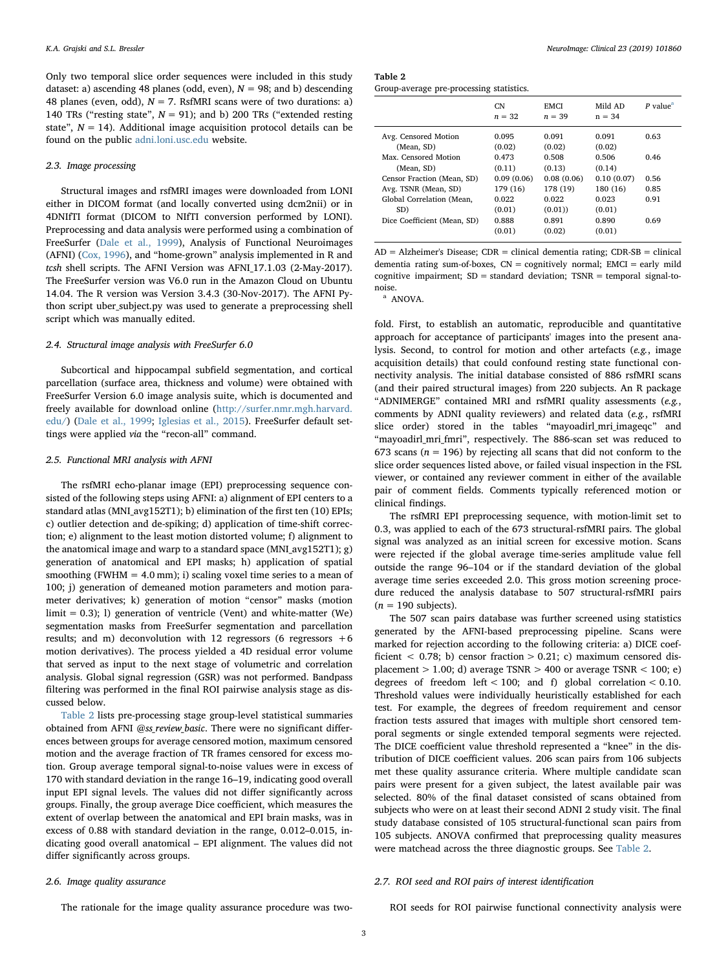Only two temporal slice order sequences were included in this study dataset: a) ascending 48 planes (odd, even),  $N = 98$ ; and b) descending 48 planes (even, odd),  $N = 7$ . RsfMRI scans were of two durations: a) 140 TRs ("resting state",  $N = 91$ ); and b) 200 TRs ("extended resting state",  $N = 14$ ). Additional image acquisition protocol details can be found on the public [adni.loni.usc.edu](http://adni.loni.usc.edu) website.

#### 2.3. Image processing

Structural images and rsfMRI images were downloaded from LONI either in DICOM format (and locally converted using dcm2nii) or in 4DNIfTI format (DICOM to NIfTI conversion performed by LONI). Preprocessing and data analysis were performed using a combination of FreeSurfer ([Dale et al., 1999](#page-12-23)), Analysis of Functional Neuroimages (AFNI) ([Cox, 1996\)](#page-12-24), and "home-grown" analysis implemented in R and tcsh shell scripts. The AFNI Version was AFNI\_17.1.03 (2-May-2017). The FreeSurfer version was V6.0 run in the Amazon Cloud on Ubuntu 14.04. The R version was Version 3.4.3 (30-Nov-2017). The AFNI Python script uber\_subject.py was used to generate a preprocessing shell script which was manually edited.

#### 2.4. Structural image analysis with FreeSurfer 6.0

Subcortical and hippocampal subfield segmentation, and cortical parcellation (surface area, thickness and volume) were obtained with FreeSurfer Version 6.0 image analysis suite, which is documented and freely available for download online [\(http://surfer.nmr.mgh.harvard.](http://surfer.nmr.mgh.harvard.edu/) [edu/](http://surfer.nmr.mgh.harvard.edu/)) ([Dale et al., 1999](#page-12-23); [Iglesias et al., 2015](#page-12-25)). FreeSurfer default settings were applied via the "recon-all" command.

#### 2.5. Functional MRI analysis with AFNI

The rsfMRI echo-planar image (EPI) preprocessing sequence consisted of the following steps using AFNI: a) alignment of EPI centers to a standard atlas (MNI\_avg152T1); b) elimination of the first ten (10) EPIs; c) outlier detection and de-spiking; d) application of time-shift correction; e) alignment to the least motion distorted volume; f) alignment to the anatomical image and warp to a standard space (MNI\_avg152T1); g) generation of anatomical and EPI masks; h) application of spatial smoothing (FWHM =  $4.0$  mm); i) scaling voxel time series to a mean of 100; j) generation of demeaned motion parameters and motion parameter derivatives; k) generation of motion "censor" masks (motion limit = 0.3); l) generation of ventricle (Vent) and white-matter (We) segmentation masks from FreeSurfer segmentation and parcellation results; and m) deconvolution with 12 regressors  $(6 \text{ regressors } +6)$ motion derivatives). The process yielded a 4D residual error volume that served as input to the next stage of volumetric and correlation analysis. Global signal regression (GSR) was not performed. Bandpass filtering was performed in the final ROI pairwise analysis stage as discussed below.

[Table 2](#page-2-0) lists pre-processing stage group-level statistical summaries obtained from AFNI @ss\_review\_basic. There were no significant differences between groups for average censored motion, maximum censored motion and the average fraction of TR frames censored for excess motion. Group average temporal signal-to-noise values were in excess of 170 with standard deviation in the range 16–19, indicating good overall input EPI signal levels. The values did not differ significantly across groups. Finally, the group average Dice coefficient, which measures the extent of overlap between the anatomical and EPI brain masks, was in excess of 0.88 with standard deviation in the range, 0.012–0.015, indicating good overall anatomical – EPI alignment. The values did not differ significantly across groups.

<span id="page-2-0"></span>

| Table 2                                  |  |
|------------------------------------------|--|
| Group-average pre-processing statistics. |  |

|                             | CN<br>$n = 32$ | <b>EMCI</b><br>$n = 39$ | Mild AD<br>$n = 34$ | $P$ value <sup>a</sup> |
|-----------------------------|----------------|-------------------------|---------------------|------------------------|
| Avg. Censored Motion        | 0.095          | 0.091                   | 0.091               | 0.63                   |
| (Mean, SD)                  | (0.02)         | (0.02)                  | (0.02)              |                        |
| Max. Censored Motion        | 0.473          | 0.508                   | 0.506               | 0.46                   |
| (Mean, SD)                  | (0.11)         | (0.13)                  | (0.14)              |                        |
| Censor Fraction (Mean, SD)  | 0.09(0.06)     | 0.08(0.06)              | 0.10(0.07)          | 0.56                   |
| Avg. TSNR (Mean, SD)        | 179 (16)       | 178 (19)                | 180 (16)            | 0.85                   |
| Global Correlation (Mean.   | 0.022          | 0.022                   | 0.023               | 0.91                   |
| SD)                         | (0.01)         | (0.01)                  | (0.01)              |                        |
| Dice Coefficient (Mean, SD) | 0.888          | 0.891                   | 0.890               | 0.69                   |
|                             | (0.01)         | (0.02)                  | (0.01)              |                        |

 $AD = Alzheimer's Disease$ ;  $CDR = clinical$  dementia rating;  $CDR-SB = clinical$ dementia rating sum-of-boxes,  $CN =$  cognitively normal;  $EMCI =$  early mild cognitive impairment;  $SD = standard deviation$ ;  $TSNR = temporal signal-to$ noise.

<span id="page-2-1"></span><sup>a</sup> ANOVA.

fold. First, to establish an automatic, reproducible and quantitative approach for acceptance of participants' images into the present analysis. Second, to control for motion and other artefacts (e.g., image acquisition details) that could confound resting state functional connectivity analysis. The initial database consisted of 886 rsfMRI scans (and their paired structural images) from 220 subjects. An R package "ADNIMERGE" contained MRI and rsfMRI quality assessments (e.g., comments by ADNI quality reviewers) and related data (e.g., rsfMRI slice order) stored in the tables "mayoadirl\_mri\_imageqc" and "mayoadirl\_mri\_fmri", respectively. The 886-scan set was reduced to 673 scans ( $n = 196$ ) by rejecting all scans that did not conform to the slice order sequences listed above, or failed visual inspection in the FSL viewer, or contained any reviewer comment in either of the available pair of comment fields. Comments typically referenced motion or clinical findings.

The rsfMRI EPI preprocessing sequence, with motion-limit set to 0.3, was applied to each of the 673 structural-rsfMRI pairs. The global signal was analyzed as an initial screen for excessive motion. Scans were rejected if the global average time-series amplitude value fell outside the range 96–104 or if the standard deviation of the global average time series exceeded 2.0. This gross motion screening procedure reduced the analysis database to 507 structural-rsfMRI pairs  $(n = 190$  subjects).

The 507 scan pairs database was further screened using statistics generated by the AFNI-based preprocessing pipeline. Scans were marked for rejection according to the following criteria: a) DICE coefficient  $\langle 0.78; b \rangle$  censor fraction  $> 0.21; c$  maximum censored displacement  $> 1.00$ ; d) average TSNR  $> 400$  or average TSNR  $< 100$ ; e) degrees of freedom left  $< 100$ ; and f) global correlation  $< 0.10$ . Threshold values were individually heuristically established for each test. For example, the degrees of freedom requirement and censor fraction tests assured that images with multiple short censored temporal segments or single extended temporal segments were rejected. The DICE coefficient value threshold represented a "knee" in the distribution of DICE coefficient values. 206 scan pairs from 106 subjects met these quality assurance criteria. Where multiple candidate scan pairs were present for a given subject, the latest available pair was selected. 80% of the final dataset consisted of scans obtained from subjects who were on at least their second ADNI 2 study visit. The final study database consisted of 105 structural-functional scan pairs from 105 subjects. ANOVA confirmed that preprocessing quality measures were matchead across the three diagnostic groups. See [Table 2.](#page-2-0)

#### 2.6. Image quality assurance

# 2.7. ROI seed and ROI pairs of interest identification

The rationale for the image quality assurance procedure was two-

ROI seeds for ROI pairwise functional connectivity analysis were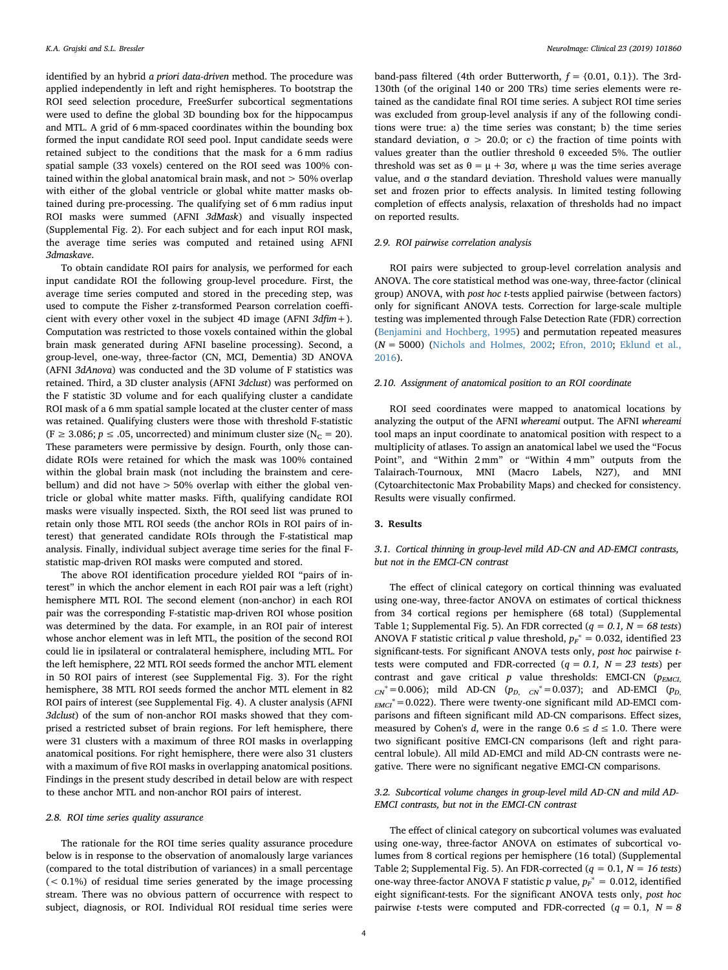identified by an hybrid a priori data-driven method. The procedure was applied independently in left and right hemispheres. To bootstrap the ROI seed selection procedure, FreeSurfer subcortical segmentations were used to define the global 3D bounding box for the hippocampus and MTL. A grid of 6 mm-spaced coordinates within the bounding box formed the input candidate ROI seed pool. Input candidate seeds were retained subject to the conditions that the mask for a 6 mm radius spatial sample (33 voxels) centered on the ROI seed was 100% contained within the global anatomical brain mask, and not > 50% overlap with either of the global ventricle or global white matter masks obtained during pre-processing. The qualifying set of 6 mm radius input ROI masks were summed (AFNI 3dMask) and visually inspected (Supplemental Fig. 2). For each subject and for each input ROI mask, the average time series was computed and retained using AFNI 3dmaskave.

To obtain candidate ROI pairs for analysis, we performed for each input candidate ROI the following group-level procedure. First, the average time series computed and stored in the preceding step, was used to compute the Fisher z-transformed Pearson correlation coefficient with every other voxel in the subject 4D image (AFNI  $3d$ fim +). Computation was restricted to those voxels contained within the global brain mask generated during AFNI baseline processing). Second, a group-level, one-way, three-factor (CN, MCI, Dementia) 3D ANOVA (AFNI 3dAnova) was conducted and the 3D volume of F statistics was retained. Third, a 3D cluster analysis (AFNI 3dclust) was performed on the F statistic 3D volume and for each qualifying cluster a candidate ROI mask of a 6 mm spatial sample located at the cluster center of mass was retained. Qualifying clusters were those with threshold F-statistic (F  $\geq$  3.086;  $p \leq .05$ , uncorrected) and minimum cluster size (N<sub>C</sub> = 20). These parameters were permissive by design. Fourth, only those candidate ROIs were retained for which the mask was 100% contained within the global brain mask (not including the brainstem and cerebellum) and did not have > 50% overlap with either the global ventricle or global white matter masks. Fifth, qualifying candidate ROI masks were visually inspected. Sixth, the ROI seed list was pruned to retain only those MTL ROI seeds (the anchor ROIs in ROI pairs of interest) that generated candidate ROIs through the F-statistical map analysis. Finally, individual subject average time series for the final Fstatistic map-driven ROI masks were computed and stored.

The above ROI identification procedure yielded ROI "pairs of interest" in which the anchor element in each ROI pair was a left (right) hemisphere MTL ROI. The second element (non-anchor) in each ROI pair was the corresponding F-statistic map-driven ROI whose position was determined by the data. For example, in an ROI pair of interest whose anchor element was in left MTL, the position of the second ROI could lie in ipsilateral or contralateral hemisphere, including MTL. For the left hemisphere, 22 MTL ROI seeds formed the anchor MTL element in 50 ROI pairs of interest (see Supplemental Fig. 3). For the right hemisphere, 38 MTL ROI seeds formed the anchor MTL element in 82 ROI pairs of interest (see Supplemental Fig. 4). A cluster analysis (AFNI 3dclust) of the sum of non-anchor ROI masks showed that they comprised a restricted subset of brain regions. For left hemisphere, there were 31 clusters with a maximum of three ROI masks in overlapping anatomical positions. For right hemisphere, there were also 31 clusters with a maximum of five ROI masks in overlapping anatomical positions. Findings in the present study described in detail below are with respect to these anchor MTL and non-anchor ROI pairs of interest.

#### 2.8. ROI time series quality assurance

The rationale for the ROI time series quality assurance procedure below is in response to the observation of anomalously large variances (compared to the total distribution of variances) in a small percentage (< 0.1%) of residual time series generated by the image processing stream. There was no obvious pattern of occurrence with respect to subject, diagnosis, or ROI. Individual ROI residual time series were

band-pass filtered (4th order Butterworth,  $f = \{0.01, 0.1\}$ ). The 3rd-130th (of the original 140 or 200 TRs) time series elements were retained as the candidate final ROI time series. A subject ROI time series was excluded from group-level analysis if any of the following conditions were true: a) the time series was constant; b) the time series standard deviation,  $\sigma$  > 20.0; or c) the fraction of time points with values greater than the outlier threshold θ exceeded 5%. The outlier threshold was set as  $θ = μ + 3σ$ , where μ was the time series average value, and σ the standard deviation. Threshold values were manually set and frozen prior to effects analysis. In limited testing following completion of effects analysis, relaxation of thresholds had no impact on reported results.

# 2.9. ROI pairwise correlation analysis

ROI pairs were subjected to group-level correlation analysis and ANOVA. The core statistical method was one-way, three-factor (clinical group) ANOVA, with post hoc t-tests applied pairwise (between factors) only for significant ANOVA tests. Correction for large-scale multiple testing was implemented through False Detection Rate (FDR) correction ([Benjamini and Hochberg, 1995](#page-11-1)) and permutation repeated measures  $(N = 5000)$  [\(Nichols and Holmes, 2002](#page-12-26); [Efron, 2010](#page-12-27); [Eklund](#page-12-28) et al., [2016\)](#page-12-28).

# 2.10. Assignment of anatomical position to an ROI coordinate

ROI seed coordinates were mapped to anatomical locations by analyzing the output of the AFNI whereami output. The AFNI whereami tool maps an input coordinate to anatomical position with respect to a multiplicity of atlases. To assign an anatomical label we used the "Focus Point", and "Within 2 mm" or "Within 4 mm" outputs from the Talairach-Tournoux, MNI (Macro Labels, N27), and MNI (Cytoarchitectonic Max Probability Maps) and checked for consistency. Results were visually confirmed.

# 3. Results

# 3.1. Cortical thinning in group-level mild AD-CN and AD-EMCI contrasts, but not in the EMCI-CN contrast

The effect of clinical category on cortical thinning was evaluated using one-way, three-factor ANOVA on estimates of cortical thickness from 34 cortical regions per hemisphere (68 total) (Supplemental Table 1; Supplemental Fig. 5). An FDR corrected ( $q = 0.1$ ,  $N = 68$  tests) ANOVA F statistic critical p value threshold,  $p_F^* = 0.032$ , identified 23 significant-tests. For significant ANOVA tests only, post hoc pairwise ttests were computed and FDR-corrected  $(q = 0.1, N = 23$  tests) per contrast and gave critical  $p$  value thresholds: EMCI-CN ( $p_{EMCI}$ )  $_{CN}$ <sup>\*</sup> = 0.006); mild AD-CN ( $p_{D, CN}$ <sup>\*</sup> = 0.037); and AD-EMCI ( $p_{D, CN}$  $_{EMCI}$ <sup>\*</sup> = 0.022). There were twenty-one significant mild AD-EMCI comparisons and fifteen significant mild AD-CN comparisons. Effect sizes, measured by Cohen's d, were in the range  $0.6 \le d \le 1.0$ . There were two significant positive EMCI-CN comparisons (left and right paracentral lobule). All mild AD-EMCI and mild AD-CN contrasts were negative. There were no significant negative EMCI-CN comparisons.

# 3.2. Subcortical volume changes in group-level mild AD-CN and mild AD-EMCI contrasts, but not in the EMCI-CN contrast

The effect of clinical category on subcortical volumes was evaluated using one-way, three-factor ANOVA on estimates of subcortical volumes from 8 cortical regions per hemisphere (16 total) (Supplemental Table 2; Supplemental Fig. 5). An FDR-corrected ( $q = 0.1$ ,  $N = 16$  tests) one-way three-factor ANOVA F statistic p value,  $p_F^* = 0.012$ , identified eight significant-tests. For the significant ANOVA tests only, post hoc pairwise *t*-tests were computed and FDR-corrected ( $q = 0.1$ ,  $N = 8$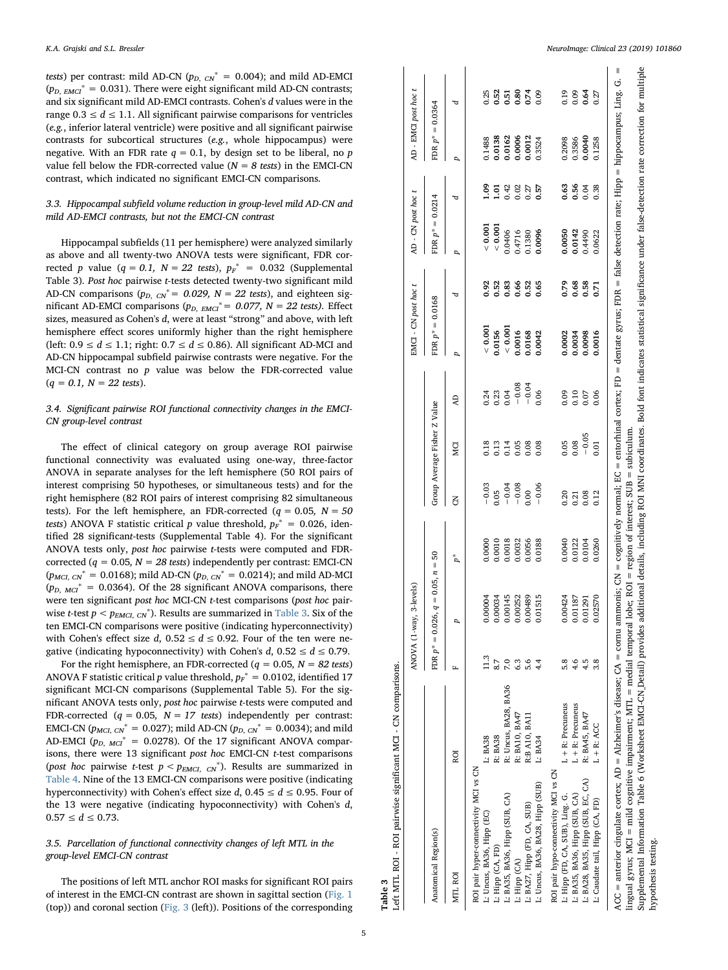tests) per contrast: mild AD-CN ( $p_{D, CN}^* = 0.004$ ); and mild AD-EMCI ( $p_{D, EMCI}^* = 0.031$ ). There were eight significant mild AD-CN contrasts; and six significant mild AD-EMCI contrasts. Cohen's d values were in the range  $0.3 \le d \le 1.1$ . All significant pairwise comparisons for ventricles (e.g., inferior lateral ventricle) were positive and all significant pairwise contrasts for subcortical structures (e.g., whole hippocampus) were negative. With an FDR rate  $q = 0.1$ , by design set to be liberal, no p value fell below the FDR-corrected value ( $N = 8$  tests) in the EMCI-CN contrast, which indicated no significant EMCI-CN comparisons.

# 3.3. Hippocampal subfield volume reduction in group-level mild AD-CN and mild AD-EMCI contrasts, but not the EMCI-CN contrast

Hippocampal subfields (11 per hemisphere) were analyzed similarly as above and all twenty-two ANOVA tests were significant, FDR corrected p value  $(q = 0.1, N = 22$  tests),  $p_F^* = 0.032$  (Supplemental Table 3). Post hoc pairwise t-tests detected twenty-two significant mild AD-CN comparisons ( $p_{D, CN}^* = 0.029$ ,  $N = 22$  tests), and eighteen significant AD-EMCI comparisons ( $p_{D,EMCI}^* = 0.077$ ,  $N = 22$  tests). Effect sizes, measured as Cohen's d, were at least "strong" and above, with left hemisphere effect scores uniformly higher than the right hemisphere (left:  $0.9 \le d \le 1.1$ ; right:  $0.7 \le d \le 0.86$ ). All significant AD-MCI and AD-CN hippocampal subfield pairwise contrasts were negative. For the MCI-CN contrast no  $p$  value was below the FDR-corrected value  $(q = 0.1, N = 22$  tests).

# 3.4. Significant pairwise ROI functional connectivity changes in the EMCI-CN group-level contrast

The effect of clinical category on group average ROI pairwise functional connectivity was evaluated using one-way, three-factor ANOVA in separate analyses for the left hemisphere (50 ROI pairs of interest comprising 50 hypotheses, or simultaneous tests) and for the right hemisphere (82 ROI pairs of interest comprising 82 simultaneous tests). For the left hemisphere, an FDR-corrected ( $q = 0.05$ ,  $N = 50$ tests) ANOVA F statistic critical p value threshold,  $p_F^* = 0.026$ , identified 28 significant-tests (Supplemental Table 4). For the significant ANOVA tests only, post hoc pairwise t-tests were computed and FDRcorrected ( $q = 0.05$ ,  $N = 28$  tests) independently per contrast: EMCI-CN  $(p_{MCI, CN}^* = 0.0168)$ ; mild AD-CN  $(p_{D, CN}^* = 0.0214)$ ; and mild AD-MCI  $(p_{D, MCI}^* = 0.0364)$ . Of the 28 significant ANOVA comparisons, there were ten significant post hoc MCI-CN t-test comparisons (post hoc pairwise *t*-test  $p < p_{EMCI, CN}^*$ ). Results are summarized in [Table 3](#page-4-0). Six of the ten EMCI-CN comparisons were positive (indicating hyperconnectivity) with Cohen's effect size  $d$ ,  $0.52 \le d \le 0.92$ . Four of the ten were negative (indicating hypoconnectivity) with Cohen's  $d$ , 0.52  $\leq d \leq$  0.79.

For the right hemisphere, an FDR-corrected ( $q = 0.05$ ,  $N = 82$  tests) ANOVA F statistic critical  $p$  value threshold,  $p_F^* = 0.0102$ , identified 17 significant MCI-CN comparisons (Supplemental Table 5). For the significant ANOVA tests only, post hoc pairwise t-tests were computed and FDR-corrected ( $q = 0.05$ ,  $N = 17$  tests) independently per contrast: EMCI-CN ( $p_{MCI, CN}^* = 0.027$ ); mild AD-CN ( $p_{D, CN}^* = 0.0034$ ); and mild AD-EMCI ( $p_{D, MCI}^* = 0.0278$ ). Of the 17 significant ANOVA comparisons, there were 13 significant post hoc EMCI-CN t-test comparisons (post hoc pairwise t-test  $p < p_{EMCI, CN}^*$ ). Results are summarized in [Table 4.](#page-5-0) Nine of the 13 EMCI-CN comparisons were positive (indicating hyperconnectivity) with Cohen's effect size d,  $0.45 \le d \le 0.95$ . Four of the 13 were negative (indicating hypoconnectivity) with Cohen's d,  $0.57 \leq d \leq 0.73$ .

# 3.5. Parcellation of functional connectivity changes of left MTL in the group-level EMCI-CN contrast

The positions of left MTL anchor ROI masks for significant ROI pairs of interest in the EMCI-CN contrast are shown in sagittal section ([Fig. 1](#page-6-0) (top)) and coronal section [\(Fig. 3](#page-7-0) (left)). Positions of the corresponding hypothesis testing.

rpothesis testing

<span id="page-4-0"></span>

|                                                                                                                                                                                                                                                                                                                                       |                      |                   | ANOVA (1-way, 3-levels)                   |        |         |                              |         | EMCI - CN post hoc t                         |      | AD - CN post hoc t         |                  | AD - EMCI post hoc t |                      |
|---------------------------------------------------------------------------------------------------------------------------------------------------------------------------------------------------------------------------------------------------------------------------------------------------------------------------------------|----------------------|-------------------|-------------------------------------------|--------|---------|------------------------------|---------|----------------------------------------------|------|----------------------------|------------------|----------------------|----------------------|
| Anatomical Region(s)                                                                                                                                                                                                                                                                                                                  |                      |                   | FDR $p^* = 0.026$ , $q = 0.05$ , $n = 50$ |        |         | Group Average Fisher Z Value |         | FDR $p^* = 0.0168$                           |      | FDR $p^* = 0.0214$         |                  | FDR $p^* = 0.0364$   |                      |
| MTL ROI                                                                                                                                                                                                                                                                                                                               | ROI                  |                   | p                                         | $P^*$  | š       | Й                            | Ð       | p                                            | d    | p                          | d                | p                    | ರ                    |
| ROI pair hyper-connectivity MCI vs CN                                                                                                                                                                                                                                                                                                 |                      |                   |                                           |        |         |                              |         |                                              |      |                            |                  |                      |                      |
| L: Uncus, BA36, Hipp (EC)                                                                                                                                                                                                                                                                                                             | L: BA38              | 11.3              | 0.00004                                   | 0.0000 | $-0.03$ | 0.18                         | 0.24    | 0.001                                        | 0.92 | 0.001                      | $^{0.1}$         | 0.1488               | 0.25                 |
| L: Hipp (CA, FD)                                                                                                                                                                                                                                                                                                                      | R: BA38              | 8.7               | 0.00034                                   | 0.0010 | 0.05    | 0.13                         | 0.23    | 0.0156                                       | 0.52 | 0.001                      | $\overline{5}$   | 0.0138               | 0.52                 |
| L: BA35, BA36, Hipp (SUB, CA)                                                                                                                                                                                                                                                                                                         | R: Uncus, BA28, BA36 | $\overline{2}$ .0 | 0.00145                                   | 0.0018 | $-0.04$ |                              | 0.04    |                                              | 0.83 | 0.0406                     |                  | 0.0162               |                      |
| L: Hipp (CA)                                                                                                                                                                                                                                                                                                                          | R: BA10, BA47        | 6.3               | 0.00252                                   | 0.0032 | $-0.08$ | 0.14<br>0.08                 | $-0.08$ |                                              | 0.66 |                            | $0.42$<br>$0.02$ | 0.0006               | 5.80<br>0.80<br>0.74 |
| L: BA27, Hipp (FD, CA, SUB)                                                                                                                                                                                                                                                                                                           | R:B A10, BA11        | 5.6               | 0489<br>0.00                              | 0.0056 | 0.00    |                              | $-0.04$ | $\frac{< 0.001}{0.0016}$<br>0.0016<br>0.0168 | 0.52 | 0.4716<br>0.1380           | $0.27$<br>$0.57$ | 0.0012               |                      |
| L: Uncus, BA36, BA28, Hipp (SUB)                                                                                                                                                                                                                                                                                                      | L: BA34              | 4.4               | 515<br>5                                  | 0.0188 | $-0.06$ | 0.08                         | 0.06    |                                              | 0.65 | 0.0096                     |                  | 0.3524               | 0.09                 |
| ROI pair hypo-connectivity MCI vs CN                                                                                                                                                                                                                                                                                                  |                      |                   |                                           |        |         |                              |         |                                              |      |                            |                  |                      |                      |
| L: Hipp (FD, CA, SUB), Ling. G.                                                                                                                                                                                                                                                                                                       | L + R: Precuneus     | 5.8               | 0.00424                                   | 0.0040 | 0.20    | 0.05                         | 0.09    | 0.0002                                       | 0.79 |                            | 0.63             | 0.2098               |                      |
| L: BA35, BA36, Hipp (SUB, CA)                                                                                                                                                                                                                                                                                                         | $L + R$ : Precuneus  | 4.6               | 0.01187                                   | 0.0122 | 0.21    | 0.08                         | 0.10    | 0.0034                                       | 0.68 |                            | 0.56<br>0.04     | 0.3586               |                      |
| L: BA28, BA35, Hipp (SUB, EC, CA)                                                                                                                                                                                                                                                                                                     | R: BA45, BA47        | 4.5               | 0.01291                                   | 0.0104 | 0.08    | $-0.05$                      | 0.07    | 0.0098                                       | 0.58 | 0.0050<br>0.0142<br>0.4490 |                  | 0.0040               | 0.19<br>0.05<br>0.64 |
| L: Caudate tail, Hipp (CA, FD)                                                                                                                                                                                                                                                                                                        | $L + R$ : ACC        | 3.8               | 0.02570                                   | 0.0260 | 0.12    | 0.01                         | 0.06    | 0.0016                                       | 0.71 | 0.0622                     | 0.38             | 0.1258               | 0.27                 |
| ACC = anterior cingulate cortex; AD = Alzheimer's disease; CA = comu ammonis; CN = cognitively normal; EC = entorhinal cortex; FD = dentate gyrus; FDR = false detection rate; Hipp = hippocampus; Ling. G.<br>lingual gyrus; MCI = mild cognitive impairment; MTL = medial temporal lobe; ROI = region of interest; SUB = subiculum. |                      |                   |                                           |        |         |                              |         |                                              |      |                            |                  |                      |                      |

Table 3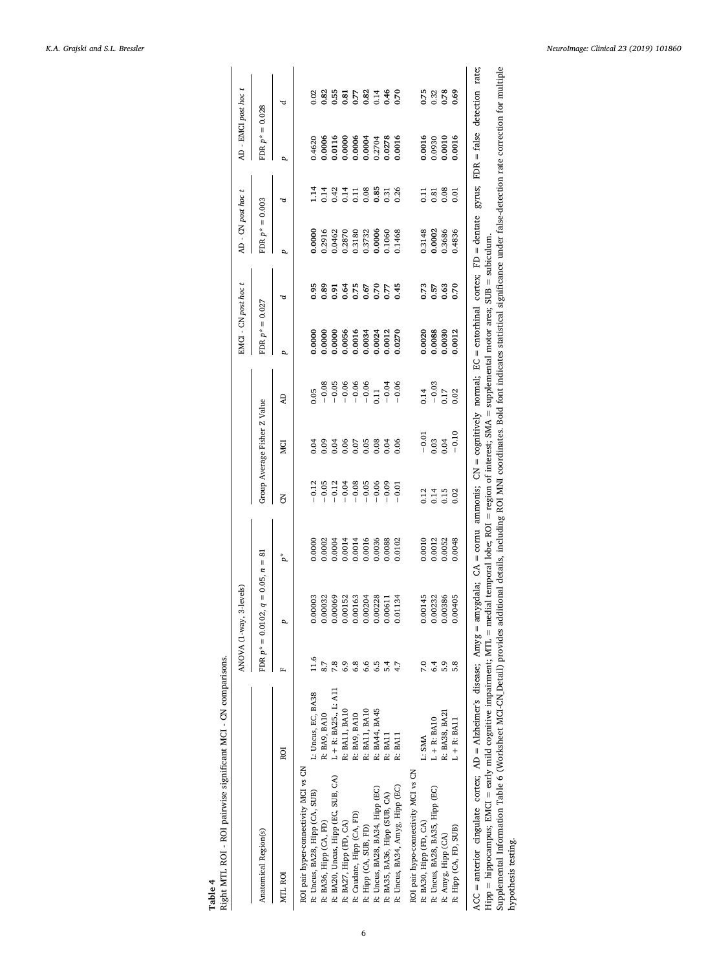<span id="page-5-0"></span>

|                                                                                                                                                                                                                        |                         |      | ANOVA (1-way, 3-levels)                    |        |                  |                              |          | EMCI - CN post hoc t |                  | AD - CN post hoc t |                | AD - EMCI post hoc t |                               |
|------------------------------------------------------------------------------------------------------------------------------------------------------------------------------------------------------------------------|-------------------------|------|--------------------------------------------|--------|------------------|------------------------------|----------|----------------------|------------------|--------------------|----------------|----------------------|-------------------------------|
| Anatomical Region(s)                                                                                                                                                                                                   |                         |      | $q = 0.05, n = 81$<br>FDR $p^* = 0.0102$ , |        |                  | Group Average Fisher Z Value |          | FDR $p^* = 0.027$    |                  | $FDR p^* = 0.003$  |                | $FDR p^* = 0.028$    |                               |
| MTL ROI                                                                                                                                                                                                                | ROI                     | LT.  | p                                          | $p^*$  | š                | MCI                          | <b>Q</b> | p                    | ರ                | p                  | д              | p                    | ъ                             |
| ROI pair hyper-connectivity MCI vs CN                                                                                                                                                                                  |                         |      |                                            |        |                  |                              |          |                      |                  |                    |                |                      |                               |
| R: Uncus, BA28, Hipp (CA, SUB)                                                                                                                                                                                         | L: Uncus, EC, BA38      | 11.6 | 0.00003                                    | 00000  | 0.12             | 0.04                         | 0.05     | 0.0000               | 0.95             | 00000              | 1.14           | 0.4620               | 0.02                          |
| R: BA36, Hipp (CA, FD)                                                                                                                                                                                                 | R: BA9, BA10            | 8.7  | 0.00032                                    | 0.0002 | $-0.05$          | 0.09                         | $-0.08$  | 0.0000               | 0.89             | 0.2916             | 0.14           | 0.0006               |                               |
| R: BA20, Uncus, Hipp (EC, SUB, CA)                                                                                                                                                                                     | $L + R$ : BA25., L: A11 | 7.8  | 0.00069                                    | 00004  | $-0.12$          | 0.04                         | $-0.05$  | 0.0000               | 0.91             | 0462               |                | 0.0116               |                               |
| R: BA27, Hipp (FD, CA)                                                                                                                                                                                                 | R: BA11, BA10           | 6.9  | 0.00152                                    | 0.0014 | $-0.04$          | 0.06                         | $-0.06$  | 0.0056               | 0.64             | 0.2870             | $0.42$<br>0.14 | 0.0000               |                               |
| R: Caudate, Hipp (CA, FD)                                                                                                                                                                                              | R: BA9, BA10            | 6.8  | 0.00163                                    | 0.0014 | $-0.08$          | 0.07                         | $-0.06$  | 0.0016               | $0.75$<br>$0.67$ | 0.3180             |                |                      |                               |
| R: Hipp (CA, SUB, FD)                                                                                                                                                                                                  | R: BA11, BA10           | 6.6  | 0.00204                                    | 0.0016 | $-0.05$          | 0.05                         | $-0.06$  | 0.0034               |                  | 0.3732             | 0.08           | 0.0004               |                               |
| R: Uncus, BA28, BA34, Hipp (EC)                                                                                                                                                                                        | R: BA44, BA45           | 6.5  | 0.00228                                    | 0.0036 | $-0.06$          | 0.08                         | 0.11     | 0.0024               | 0.70             | 0.0006             | 0.85           | 0.2704               |                               |
| R: BA35, BA36, Hipp (SUB, CA)                                                                                                                                                                                          | R: BA11                 | 5.4  | 0.00611                                    | 0.088  | $-0.09$          | 0.04                         | $-0.04$  | 0.0012               | 0.77             | 0901.0             | 0.31           | $0.0278$<br>$0.0016$ |                               |
| R: Uncus, BA34, Amyg, Hipp (EC)                                                                                                                                                                                        | R: BA11                 |      | 0.01134                                    | 0.0102 | $-0.01$          | 0.06                         | $-0.06$  | 0.0270               | 0.45             | 0.1468             | 0.26           |                      |                               |
| ROI pair hypo-connectivity MCI vs CN                                                                                                                                                                                   |                         |      |                                            |        |                  |                              |          |                      |                  |                    |                |                      |                               |
| R: BA30, Hipp (FD, CA)                                                                                                                                                                                                 | L: SMA                  | 7.0  | 0.00145                                    | 0.0010 | 0.12             | $-0.01$                      | 0.14     | 0.0020               | 0.73             | 0.3148             | 0.11           | 0.0016               | 0.75                          |
| R: Uncus, BA28, BA35, Hipp (EC)                                                                                                                                                                                        | $L + R$ : BA10          | 6.4  | 0.00232                                    | 0.0012 | $0.14$<br>$0.15$ | 0.03                         | $-0.03$  | 0.0088<br>0.0030     | 0.57             | 0.0002             | 0.81           | 0.0930               | $0.32$<br>$0.78$              |
| R: Amyg, Hipp (CA)                                                                                                                                                                                                     | R: BA38, BA21           | 5.9  | 0.00386                                    | 0.0052 |                  | 0.04                         | 0.17     |                      | 0.63             | 0.3686             | 0.08           | 0.0010               |                               |
| R: Hipp (CA, FD, SUB)                                                                                                                                                                                                  | $L + R$ : BA11          | 5.8  | 0.00405                                    | 0.0048 | 0.02             | $-0.10$                      | 0.02     | 0.0012               | 0.70             | 0.4836             | 0.01           | 0.0016               | 0.69                          |
| ACC = anterior cingulate cortex; AD = Alzheimer's disease; Amyg = amygdala; CA = cornu ammonis; CN = cognitively normal; EC = entorhinal cortex; FD = dentate                                                          |                         |      |                                            |        |                  |                              |          |                      |                  |                    | gyrus;         |                      | $FDR = false$ detection rate; |
| Hipp = hippocampus; EMCI = early mild cognitive impairment; MTL = medial temporal lobe; ROI = region of interest; SMA = supplemental motor area; SUB = subiculum.                                                      |                         |      |                                            |        |                  |                              |          |                      |                  |                    |                |                      |                               |
| Supplemental Information Table 6 (Worksheet MCI-CN Detail) provides additional details, including ROI MNI coordinates. Bold font indicates statistical significance under false-detection rate correction for multiple |                         |      |                                            |        |                  |                              |          |                      |                  |                    |                |                      |                               |
| hypothesis testing.                                                                                                                                                                                                    |                         |      |                                            |        |                  |                              |          |                      |                  |                    |                |                      |                               |

# Table 4<br>Right MTL ROI - ROI pairwise significant MCI - CN comparisons. Right MTL ROI - ROI pairwise significant MCI - CN comparisons.

6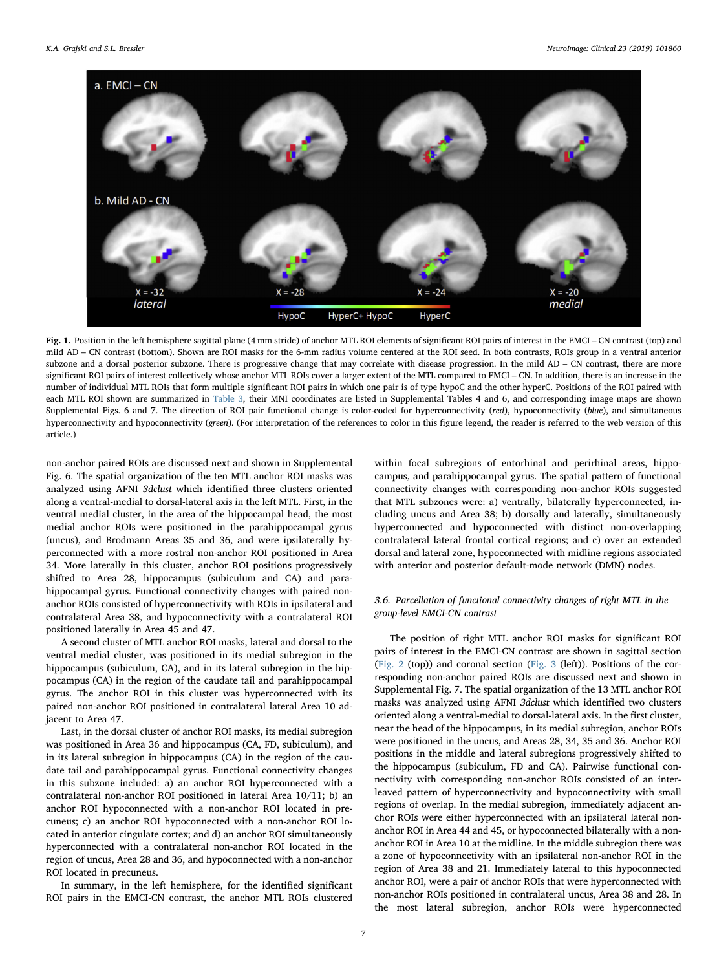<span id="page-6-0"></span>

Fig. 1. Position in the left hemisphere sagittal plane (4 mm stride) of anchor MTL ROI elements of significant ROI pairs of interest in the EMCI – CN contrast (top) and mild AD – CN contrast (bottom). Shown are ROI masks for the 6-mm radius volume centered at the ROI seed. In both contrasts, ROIs group in a ventral anterior subzone and a dorsal posterior subzone. There is progressive change that may correlate with disease progression. In the mild AD – CN contrast, there are more significant ROI pairs of interest collectively whose anchor MTL ROIs cover a larger extent of the MTL compared to EMCI – CN. In addition, there is an increase in the number of individual MTL ROIs that form multiple significant ROI pairs in which one pair is of type hypoC and the other hyperC. Positions of the ROI paired with each MTL ROI shown are summarized in [Table 3,](#page-4-0) their MNI coordinates are listed in Supplemental Tables 4 and 6, and corresponding image maps are shown Supplemental Figs. 6 and 7. The direction of ROI pair functional change is color-coded for hyperconnectivity (red), hypoconnectivity (blue), and simultaneous hyperconnectivity and hypoconnectivity (green). (For interpretation of the references to color in this figure legend, the reader is referred to the web version of this article.)

non-anchor paired ROIs are discussed next and shown in Supplemental Fig. 6. The spatial organization of the ten MTL anchor ROI masks was analyzed using AFNI 3dclust which identified three clusters oriented along a ventral-medial to dorsal-lateral axis in the left MTL. First, in the ventral medial cluster, in the area of the hippocampal head, the most medial anchor ROIs were positioned in the parahippocampal gyrus (uncus), and Brodmann Areas 35 and 36, and were ipsilaterally hyperconnected with a more rostral non-anchor ROI positioned in Area 34. More laterally in this cluster, anchor ROI positions progressively shifted to Area 28, hippocampus (subiculum and CA) and parahippocampal gyrus. Functional connectivity changes with paired nonanchor ROIs consisted of hyperconnectivity with ROIs in ipsilateral and contralateral Area 38, and hypoconnectivity with a contralateral ROI positioned laterally in Area 45 and 47.

A second cluster of MTL anchor ROI masks, lateral and dorsal to the ventral medial cluster, was positioned in its medial subregion in the hippocampus (subiculum, CA), and in its lateral subregion in the hippocampus (CA) in the region of the caudate tail and parahippocampal gyrus. The anchor ROI in this cluster was hyperconnected with its paired non-anchor ROI positioned in contralateral lateral Area 10 adjacent to Area 47.

Last, in the dorsal cluster of anchor ROI masks, its medial subregion was positioned in Area 36 and hippocampus (CA, FD, subiculum), and in its lateral subregion in hippocampus (CA) in the region of the caudate tail and parahippocampal gyrus. Functional connectivity changes in this subzone included: a) an anchor ROI hyperconnected with a contralateral non-anchor ROI positioned in lateral Area 10/11; b) an anchor ROI hypoconnected with a non-anchor ROI located in precuneus; c) an anchor ROI hypoconnected with a non-anchor ROI located in anterior cingulate cortex; and d) an anchor ROI simultaneously hyperconnected with a contralateral non-anchor ROI located in the region of uncus, Area 28 and 36, and hypoconnected with a non-anchor ROI located in precuneus.

In summary, in the left hemisphere, for the identified significant ROI pairs in the EMCI-CN contrast, the anchor MTL ROIs clustered

within focal subregions of entorhinal and perirhinal areas, hippocampus, and parahippocampal gyrus. The spatial pattern of functional connectivity changes with corresponding non-anchor ROIs suggested that MTL subzones were: a) ventrally, bilaterally hyperconnected, including uncus and Area 38; b) dorsally and laterally, simultaneously hyperconnected and hypoconnected with distinct non-overlapping contralateral lateral frontal cortical regions; and c) over an extended dorsal and lateral zone, hypoconnected with midline regions associated with anterior and posterior default-mode network (DMN) nodes.

# 3.6. Parcellation of functional connectivity changes of right MTL in the group-level EMCI-CN contrast

The position of right MTL anchor ROI masks for significant ROI pairs of interest in the EMCI-CN contrast are shown in sagittal section ([Fig. 2](#page-7-1) (top)) and coronal section [\(Fig. 3](#page-7-0) (left)). Positions of the corresponding non-anchor paired ROIs are discussed next and shown in Supplemental Fig. 7. The spatial organization of the 13 MTL anchor ROI masks was analyzed using AFNI 3dclust which identified two clusters oriented along a ventral-medial to dorsal-lateral axis. In the first cluster, near the head of the hippocampus, in its medial subregion, anchor ROIs were positioned in the uncus, and Areas 28, 34, 35 and 36. Anchor ROI positions in the middle and lateral subregions progressively shifted to the hippocampus (subiculum, FD and CA). Pairwise functional connectivity with corresponding non-anchor ROIs consisted of an interleaved pattern of hyperconnectivity and hypoconnectivity with small regions of overlap. In the medial subregion, immediately adjacent anchor ROIs were either hyperconnected with an ipsilateral lateral nonanchor ROI in Area 44 and 45, or hypoconnected bilaterally with a nonanchor ROI in Area 10 at the midline. In the middle subregion there was a zone of hypoconnectivity with an ipsilateral non-anchor ROI in the region of Area 38 and 21. Immediately lateral to this hypoconnected anchor ROI, were a pair of anchor ROIs that were hyperconnected with non-anchor ROIs positioned in contralateral uncus, Area 38 and 28. In the most lateral subregion, anchor ROIs were hyperconnected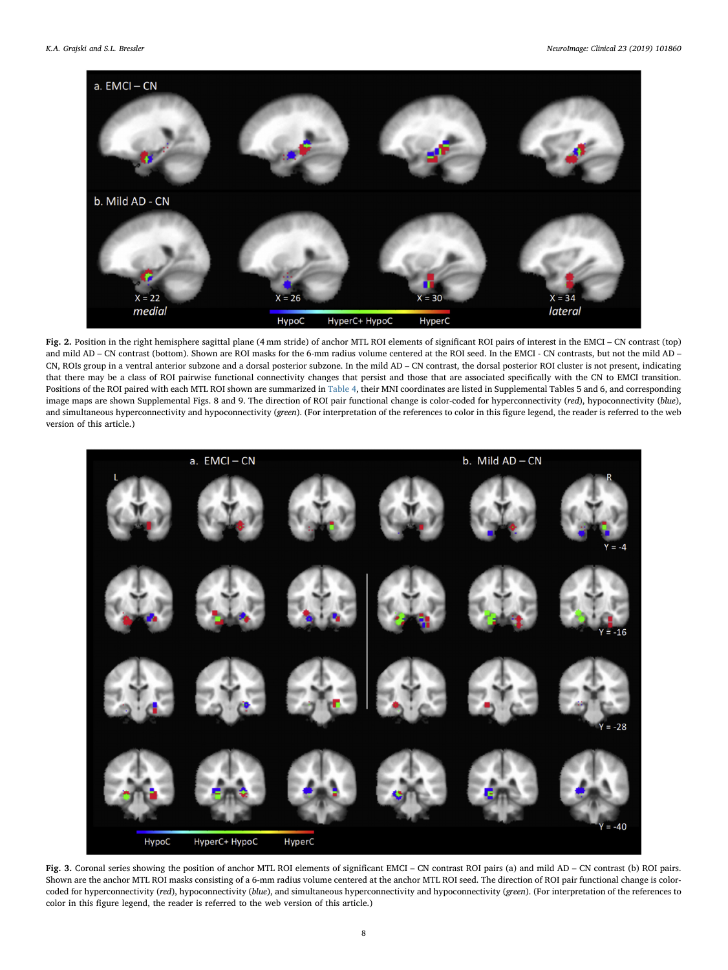<span id="page-7-1"></span>

Fig. 2. Position in the right hemisphere sagittal plane (4 mm stride) of anchor MTL ROI elements of significant ROI pairs of interest in the EMCI – CN contrast (top) and mild AD – CN contrast (bottom). Shown are ROI masks for the 6-mm radius volume centered at the ROI seed. In the EMCI - CN contrasts, but not the mild AD – CN, ROIs group in a ventral anterior subzone and a dorsal posterior subzone. In the mild AD – CN contrast, the dorsal posterior ROI cluster is not present, indicating that there may be a class of ROI pairwise functional connectivity changes that persist and those that are associated specifically with the CN to EMCI transition. Positions of the ROI paired with each MTL ROI shown are summarized in [Table 4,](#page-5-0) their MNI coordinates are listed in Supplemental Tables 5 and 6, and corresponding image maps are shown Supplemental Figs. 8 and 9. The direction of ROI pair functional change is color-coded for hyperconnectivity (red), hypoconnectivity (blue), and simultaneous hyperconnectivity and hypoconnectivity (green). (For interpretation of the references to color in this figure legend, the reader is referred to the web version of this article.)

<span id="page-7-0"></span>

Fig. 3. Coronal series showing the position of anchor MTL ROI elements of significant EMCI – CN contrast ROI pairs (a) and mild AD – CN contrast (b) ROI pairs. Shown are the anchor MTL ROI masks consisting of a 6-mm radius volume centered at the anchor MTL ROI seed. The direction of ROI pair functional change is colorcoded for hyperconnectivity (red), hypoconnectivity (blue), and simultaneous hyperconnectivity and hypoconnectivity (green). (For interpretation of the references to color in this figure legend, the reader is referred to the web version of this article.)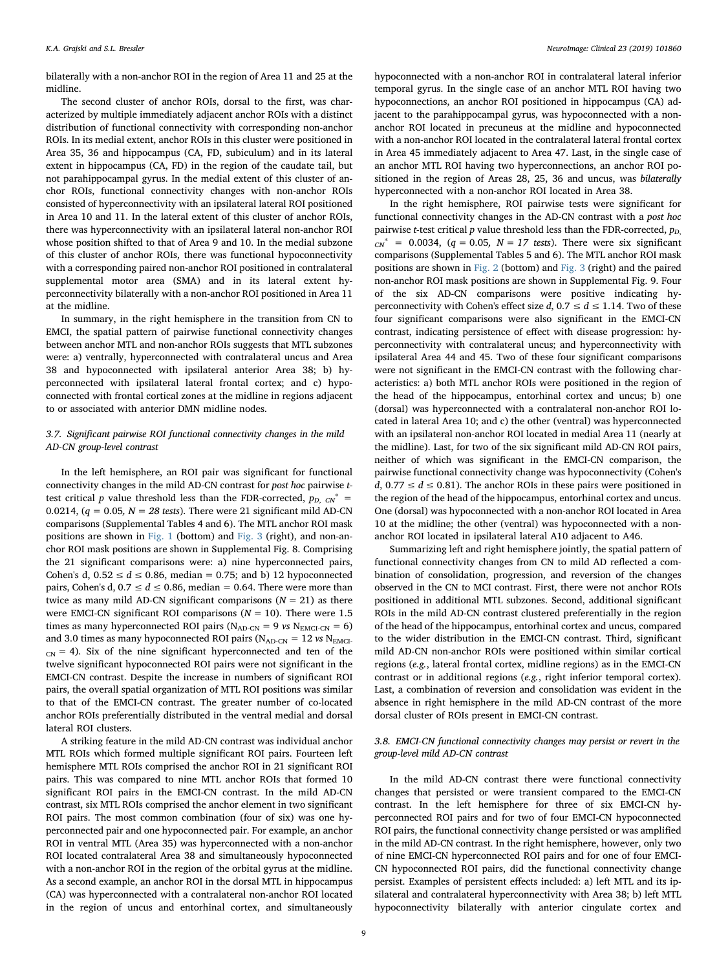bilaterally with a non-anchor ROI in the region of Area 11 and 25 at the midline.

The second cluster of anchor ROIs, dorsal to the first, was characterized by multiple immediately adjacent anchor ROIs with a distinct distribution of functional connectivity with corresponding non-anchor ROIs. In its medial extent, anchor ROIs in this cluster were positioned in Area 35, 36 and hippocampus (CA, FD, subiculum) and in its lateral extent in hippocampus (CA, FD) in the region of the caudate tail, but not parahippocampal gyrus. In the medial extent of this cluster of anchor ROIs, functional connectivity changes with non-anchor ROIs consisted of hyperconnectivity with an ipsilateral lateral ROI positioned in Area 10 and 11. In the lateral extent of this cluster of anchor ROIs, there was hyperconnectivity with an ipsilateral lateral non-anchor ROI whose position shifted to that of Area 9 and 10. In the medial subzone of this cluster of anchor ROIs, there was functional hypoconnectivity with a corresponding paired non-anchor ROI positioned in contralateral supplemental motor area (SMA) and in its lateral extent hyperconnectivity bilaterally with a non-anchor ROI positioned in Area 11 at the midline.

In summary, in the right hemisphere in the transition from CN to EMCI, the spatial pattern of pairwise functional connectivity changes between anchor MTL and non-anchor ROIs suggests that MTL subzones were: a) ventrally, hyperconnected with contralateral uncus and Area 38 and hypoconnected with ipsilateral anterior Area 38; b) hyperconnected with ipsilateral lateral frontal cortex; and c) hypoconnected with frontal cortical zones at the midline in regions adjacent to or associated with anterior DMN midline nodes.

# 3.7. Significant pairwise ROI functional connectivity changes in the mild AD-CN group-level contrast

In the left hemisphere, an ROI pair was significant for functional connectivity changes in the mild AD-CN contrast for post hoc pairwise ttest critical p value threshold less than the FDR-corrected,  $p_{D, CN}$  = 0.0214, ( $q = 0.05$ ,  $N = 28$  tests). There were 21 significant mild AD-CN comparisons (Supplemental Tables 4 and 6). The MTL anchor ROI mask positions are shown in [Fig. 1](#page-6-0) (bottom) and [Fig. 3](#page-7-0) (right), and non-anchor ROI mask positions are shown in Supplemental Fig. 8. Comprising the 21 significant comparisons were: a) nine hyperconnected pairs, Cohen's d,  $0.52 \le d \le 0.86$ , median = 0.75; and b) 12 hypoconnected pairs, Cohen's d,  $0.7 \le d \le 0.86$ , median = 0.64. There were more than twice as many mild AD-CN significant comparisons  $(N = 21)$  as there were EMCI-CN significant ROI comparisons  $(N = 10)$ . There were 1.5 times as many hyperconnected ROI pairs ( $N_{AD-CN}$  = 9 vs  $N_{EMCI-CN}$  = 6) and 3.0 times as many hypoconnected ROI pairs ( $N_{AD-CN}$  = 12 vs  $N_{EMCI}$ - $_{CN}$  = 4). Six of the nine significant hyperconnected and ten of the twelve significant hypoconnected ROI pairs were not significant in the EMCI-CN contrast. Despite the increase in numbers of significant ROI pairs, the overall spatial organization of MTL ROI positions was similar to that of the EMCI-CN contrast. The greater number of co-located anchor ROIs preferentially distributed in the ventral medial and dorsal lateral ROI clusters.

A striking feature in the mild AD-CN contrast was individual anchor MTL ROIs which formed multiple significant ROI pairs. Fourteen left hemisphere MTL ROIs comprised the anchor ROI in 21 significant ROI pairs. This was compared to nine MTL anchor ROIs that formed 10 significant ROI pairs in the EMCI-CN contrast. In the mild AD-CN contrast, six MTL ROIs comprised the anchor element in two significant ROI pairs. The most common combination (four of six) was one hyperconnected pair and one hypoconnected pair. For example, an anchor ROI in ventral MTL (Area 35) was hyperconnected with a non-anchor ROI located contralateral Area 38 and simultaneously hypoconnected with a non-anchor ROI in the region of the orbital gyrus at the midline. As a second example, an anchor ROI in the dorsal MTL in hippocampus (CA) was hyperconnected with a contralateral non-anchor ROI located in the region of uncus and entorhinal cortex, and simultaneously

hypoconnected with a non-anchor ROI in contralateral lateral inferior temporal gyrus. In the single case of an anchor MTL ROI having two hypoconnections, an anchor ROI positioned in hippocampus (CA) adjacent to the parahippocampal gyrus, was hypoconnected with a nonanchor ROI located in precuneus at the midline and hypoconnected with a non-anchor ROI located in the contralateral lateral frontal cortex in Area 45 immediately adjacent to Area 47. Last, in the single case of an anchor MTL ROI having two hyperconnections, an anchor ROI positioned in the region of Areas 28, 25, 36 and uncus, was bilaterally hyperconnected with a non-anchor ROI located in Area 38.

In the right hemisphere, ROI pairwise tests were significant for functional connectivity changes in the AD-CN contrast with a post hoc pairwise *t*-test critical *p* value threshold less than the FDR-corrected,  $p_D$  $_{CN}^*$  = 0.0034, (q = 0.05, N = 17 tests). There were six significant comparisons (Supplemental Tables 5 and 6). The MTL anchor ROI mask positions are shown in [Fig. 2](#page-7-1) (bottom) and [Fig. 3](#page-7-0) (right) and the paired non-anchor ROI mask positions are shown in Supplemental Fig. 9. Four of the six AD-CN comparisons were positive indicating hyperconnectivity with Cohen's effect size  $d$ , 0.7  $\leq$   $d \leq$  1.14. Two of these four significant comparisons were also significant in the EMCI-CN contrast, indicating persistence of effect with disease progression: hyperconnectivity with contralateral uncus; and hyperconnectivity with ipsilateral Area 44 and 45. Two of these four significant comparisons were not significant in the EMCI-CN contrast with the following characteristics: a) both MTL anchor ROIs were positioned in the region of the head of the hippocampus, entorhinal cortex and uncus; b) one (dorsal) was hyperconnected with a contralateral non-anchor ROI located in lateral Area 10; and c) the other (ventral) was hyperconnected with an ipsilateral non-anchor ROI located in medial Area 11 (nearly at the midline). Last, for two of the six significant mild AD-CN ROI pairs, neither of which was significant in the EMCI-CN comparison, the pairwise functional connectivity change was hypoconnectivity (Cohen's  $d$ , 0.77  $\leq d \leq$  0.81). The anchor ROIs in these pairs were positioned in the region of the head of the hippocampus, entorhinal cortex and uncus. One (dorsal) was hypoconnected with a non-anchor ROI located in Area 10 at the midline; the other (ventral) was hypoconnected with a nonanchor ROI located in ipsilateral lateral A10 adjacent to A46.

Summarizing left and right hemisphere jointly, the spatial pattern of functional connectivity changes from CN to mild AD reflected a combination of consolidation, progression, and reversion of the changes observed in the CN to MCI contrast. First, there were not anchor ROIs positioned in additional MTL subzones. Second, additional significant ROIs in the mild AD-CN contrast clustered preferentially in the region of the head of the hippocampus, entorhinal cortex and uncus, compared to the wider distribution in the EMCI-CN contrast. Third, significant mild AD-CN non-anchor ROIs were positioned within similar cortical regions (e.g., lateral frontal cortex, midline regions) as in the EMCI-CN contrast or in additional regions (e.g., right inferior temporal cortex). Last, a combination of reversion and consolidation was evident in the absence in right hemisphere in the mild AD-CN contrast of the more dorsal cluster of ROIs present in EMCI-CN contrast.

# 3.8. EMCI-CN functional connectivity changes may persist or revert in the group-level mild AD-CN contrast

In the mild AD-CN contrast there were functional connectivity changes that persisted or were transient compared to the EMCI-CN contrast. In the left hemisphere for three of six EMCI-CN hyperconnected ROI pairs and for two of four EMCI-CN hypoconnected ROI pairs, the functional connectivity change persisted or was amplified in the mild AD-CN contrast. In the right hemisphere, however, only two of nine EMCI-CN hyperconnected ROI pairs and for one of four EMCI-CN hypoconnected ROI pairs, did the functional connectivity change persist. Examples of persistent effects included: a) left MTL and its ipsilateral and contralateral hyperconnectivity with Area 38; b) left MTL hypoconnectivity bilaterally with anterior cingulate cortex and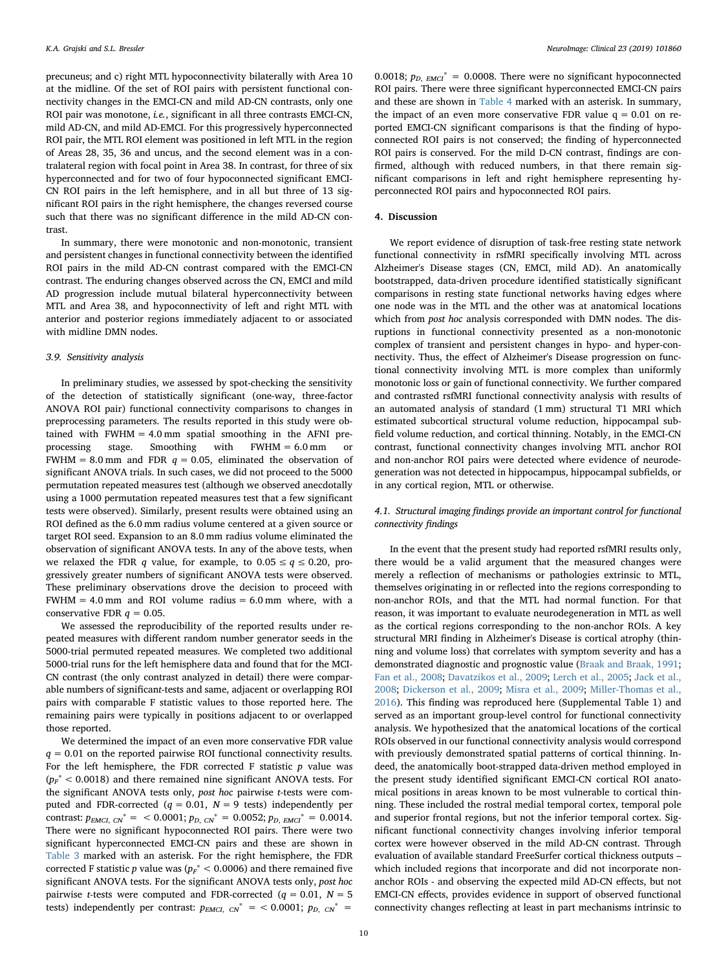precuneus; and c) right MTL hypoconnectivity bilaterally with Area 10 at the midline. Of the set of ROI pairs with persistent functional connectivity changes in the EMCI-CN and mild AD-CN contrasts, only one ROI pair was monotone, i.e., significant in all three contrasts EMCI-CN, mild AD-CN, and mild AD-EMCI. For this progressively hyperconnected ROI pair, the MTL ROI element was positioned in left MTL in the region of Areas 28, 35, 36 and uncus, and the second element was in a contralateral region with focal point in Area 38. In contrast, for three of six hyperconnected and for two of four hypoconnected significant EMCI-CN ROI pairs in the left hemisphere, and in all but three of 13 significant ROI pairs in the right hemisphere, the changes reversed course such that there was no significant difference in the mild AD-CN contrast.

In summary, there were monotonic and non-monotonic, transient and persistent changes in functional connectivity between the identified ROI pairs in the mild AD-CN contrast compared with the EMCI-CN contrast. The enduring changes observed across the CN, EMCI and mild AD progression include mutual bilateral hyperconnectivity between MTL and Area 38, and hypoconnectivity of left and right MTL with anterior and posterior regions immediately adjacent to or associated with midline DMN nodes.

# 3.9. Sensitivity analysis

In preliminary studies, we assessed by spot-checking the sensitivity of the detection of statistically significant (one-way, three-factor ANOVA ROI pair) functional connectivity comparisons to changes in preprocessing parameters. The results reported in this study were obtained with FWHM = 4.0 mm spatial smoothing in the AFNI preprocessing stage. Smoothing with FWHM = 6.0 mm or FWHM = 8.0 mm and FDR  $q = 0.05$ , eliminated the observation of significant ANOVA trials. In such cases, we did not proceed to the 5000 permutation repeated measures test (although we observed anecdotally using a 1000 permutation repeated measures test that a few significant tests were observed). Similarly, present results were obtained using an ROI defined as the 6.0 mm radius volume centered at a given source or target ROI seed. Expansion to an 8.0 mm radius volume eliminated the observation of significant ANOVA tests. In any of the above tests, when we relaxed the FDR q value, for example, to  $0.05 \le q \le 0.20$ , progressively greater numbers of significant ANOVA tests were observed. These preliminary observations drove the decision to proceed with  $FWHM = 4.0$  mm and ROI volume radius =  $6.0$  mm where, with a conservative FDR  $q = 0.05$ .

We assessed the reproducibility of the reported results under repeated measures with different random number generator seeds in the 5000-trial permuted repeated measures. We completed two additional 5000-trial runs for the left hemisphere data and found that for the MCI-CN contrast (the only contrast analyzed in detail) there were comparable numbers of significant-tests and same, adjacent or overlapping ROI pairs with comparable F statistic values to those reported here. The remaining pairs were typically in positions adjacent to or overlapped those reported.

We determined the impact of an even more conservative FDR value  $q = 0.01$  on the reported pairwise ROI functional connectivity results. For the left hemisphere, the FDR corrected F statistic  $p$  value was  $(p_F^* < 0.0018)$  and there remained nine significant ANOVA tests. For the significant ANOVA tests only, post hoc pairwise t-tests were computed and FDR-corrected ( $q = 0.01$ ,  $N = 9$  tests) independently per contrast:  $p_{EMCI, CN}^* = < 0.0001$ ;  $p_{D, CN}^* = 0.0052$ ;  $p_{D, EMCI}^* = 0.0014$ . There were no significant hypoconnected ROI pairs. There were two significant hyperconnected EMCI-CN pairs and these are shown in [Table 3](#page-4-0) marked with an asterisk. For the right hemisphere, the FDR corrected F statistic p value was ( $p_F^* < 0.0006$ ) and there remained five significant ANOVA tests. For the significant ANOVA tests only, post hoc pairwise *t*-tests were computed and FDR-corrected ( $q = 0.01$ ,  $N = 5$ tests) independently per contrast:  $p_{EMCI, CN}^* =$  < 0.0001;  $p_{D, CN}^*$  =

0.0018;  $p_{D,EMCI}^* = 0.0008$ . There were no significant hypoconnected ROI pairs. There were three significant hyperconnected EMCI-CN pairs and these are shown in [Table 4](#page-5-0) marked with an asterisk. In summary, the impact of an even more conservative FDR value  $q = 0.01$  on reported EMCI-CN significant comparisons is that the finding of hypoconnected ROI pairs is not conserved; the finding of hyperconnected ROI pairs is conserved. For the mild D-CN contrast, findings are confirmed, although with reduced numbers, in that there remain significant comparisons in left and right hemisphere representing hyperconnected ROI pairs and hypoconnected ROI pairs.

# 4. Discussion

We report evidence of disruption of task-free resting state network functional connectivity in rsfMRI specifically involving MTL across Alzheimer's Disease stages (CN, EMCI, mild AD). An anatomically bootstrapped, data-driven procedure identified statistically significant comparisons in resting state functional networks having edges where one node was in the MTL and the other was at anatomical locations which from post hoc analysis corresponded with DMN nodes. The disruptions in functional connectivity presented as a non-monotonic complex of transient and persistent changes in hypo- and hyper-connectivity. Thus, the effect of Alzheimer's Disease progression on functional connectivity involving MTL is more complex than uniformly monotonic loss or gain of functional connectivity. We further compared and contrasted rsfMRI functional connectivity analysis with results of an automated analysis of standard (1 mm) structural T1 MRI which estimated subcortical structural volume reduction, hippocampal subfield volume reduction, and cortical thinning. Notably, in the EMCI-CN contrast, functional connectivity changes involving MTL anchor ROI and non-anchor ROI pairs were detected where evidence of neurodegeneration was not detected in hippocampus, hippocampal subfields, or in any cortical region, MTL or otherwise.

# 4.1. Structural imaging findings provide an important control for functional connectivity findings

In the event that the present study had reported rsfMRI results only, there would be a valid argument that the measured changes were merely a reflection of mechanisms or pathologies extrinsic to MTL, themselves originating in or reflected into the regions corresponding to non-anchor ROIs, and that the MTL had normal function. For that reason, it was important to evaluate neurodegeneration in MTL as well as the cortical regions corresponding to the non-anchor ROIs. A key structural MRI finding in Alzheimer's Disease is cortical atrophy (thinning and volume loss) that correlates with symptom severity and has a demonstrated diagnostic and prognostic value ([Braak and Braak, 1991](#page-12-29); [Fan et al., 2008](#page-12-30); [Davatzikos et al., 2009;](#page-12-31) [Lerch et al., 2005;](#page-12-32) [Jack et al.,](#page-12-20) [2008;](#page-12-20) [Dickerson et al., 2009;](#page-12-33) [Misra et al., 2009;](#page-12-34) [Miller-Thomas et al.,](#page-12-35) [2016\)](#page-12-35). This finding was reproduced here (Supplemental Table 1) and served as an important group-level control for functional connectivity analysis. We hypothesized that the anatomical locations of the cortical ROIs observed in our functional connectivity analysis would correspond with previously demonstrated spatial patterns of cortical thinning. Indeed, the anatomically boot-strapped data-driven method employed in the present study identified significant EMCI-CN cortical ROI anatomical positions in areas known to be most vulnerable to cortical thinning. These included the rostral medial temporal cortex, temporal pole and superior frontal regions, but not the inferior temporal cortex. Significant functional connectivity changes involving inferior temporal cortex were however observed in the mild AD-CN contrast. Through evaluation of available standard FreeSurfer cortical thickness outputs – which included regions that incorporate and did not incorporate nonanchor ROIs - and observing the expected mild AD-CN effects, but not EMCI-CN effects, provides evidence in support of observed functional connectivity changes reflecting at least in part mechanisms intrinsic to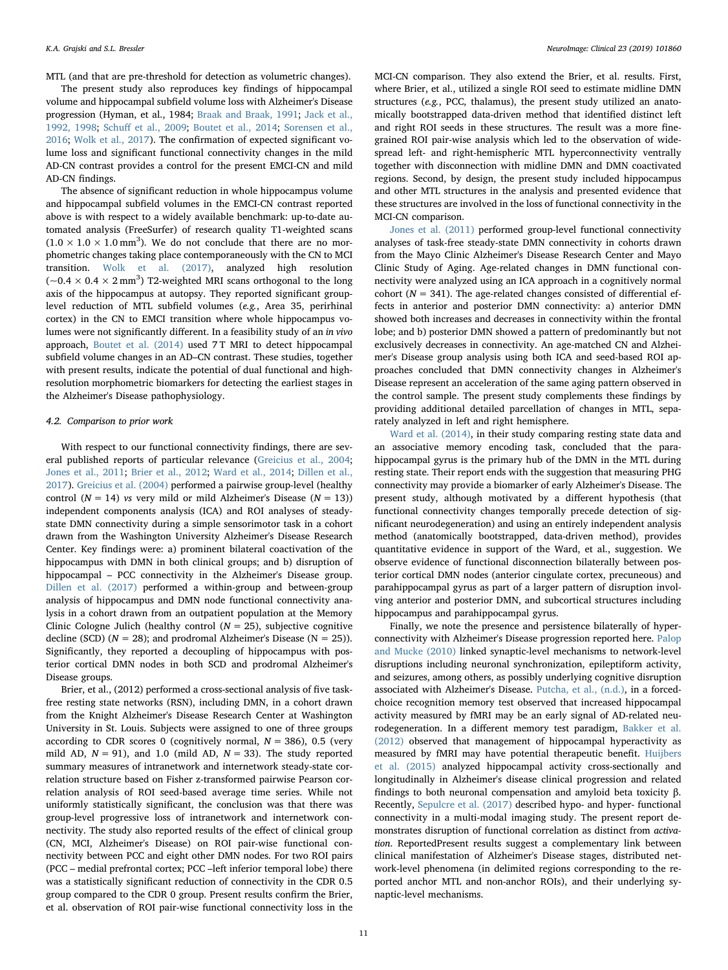MTL (and that are pre-threshold for detection as volumetric changes).

The present study also reproduces key findings of hippocampal volume and hippocampal subfield volume loss with Alzheimer's Disease progression (Hyman, et al., 1984; [Braak and Braak, 1991](#page-12-29); [Jack et al.,](#page-12-36) [1992, 1998](#page-12-36); Schuff [et al., 2009;](#page-12-37) [Boutet et al., 2014](#page-11-2); [Sorensen et al.,](#page-12-38) [2016;](#page-12-38) [Wolk et al., 2017](#page-12-39)). The confirmation of expected significant volume loss and significant functional connectivity changes in the mild AD-CN contrast provides a control for the present EMCI-CN and mild AD-CN findings.

The absence of significant reduction in whole hippocampus volume and hippocampal subfield volumes in the EMCI-CN contrast reported above is with respect to a widely available benchmark: up-to-date automated analysis (FreeSurfer) of research quality T1-weighted scans  $(1.0 \times 1.0 \times 1.0 \text{ mm}^3)$ . We do not conclude that there are no morphometric changes taking place contemporaneously with the CN to MCI transition. [Wolk et al. \(2017\),](#page-12-39) analyzed high resolution  $(-0.4 \times 0.4 \times 2 \text{ mm}^3)$  T2-weighted MRI scans orthogonal to the long axis of the hippocampus at autopsy. They reported significant grouplevel reduction of MTL subfield volumes (e.g., Area 35, perirhinal cortex) in the CN to EMCI transition where whole hippocampus volumes were not significantly different. In a feasibility study of an in vivo approach, [Boutet et al. \(2014\)](#page-11-2) used 7T MRI to detect hippocampal subfield volume changes in an AD–CN contrast. These studies, together with present results, indicate the potential of dual functional and highresolution morphometric biomarkers for detecting the earliest stages in the Alzheimer's Disease pathophysiology.

#### 4.2. Comparison to prior work

With respect to our functional connectivity findings, there are several published reports of particular relevance ([Greicius et al., 2004](#page-12-7); [Jones et al., 2011](#page-12-5); [Brier et al., 2012](#page-12-13); [Ward et al., 2014;](#page-12-15) [Dillen et al.,](#page-12-17) [2017\)](#page-12-17). [Greicius et al. \(2004\)](#page-12-7) performed a pairwise group-level (healthy control ( $N = 14$ ) vs very mild or mild Alzheimer's Disease ( $N = 13$ )) independent components analysis (ICA) and ROI analyses of steadystate DMN connectivity during a simple sensorimotor task in a cohort drawn from the Washington University Alzheimer's Disease Research Center. Key findings were: a) prominent bilateral coactivation of the hippocampus with DMN in both clinical groups; and b) disruption of hippocampal – PCC connectivity in the Alzheimer's Disease group. [Dillen et al. \(2017\)](#page-12-17) performed a within-group and between-group analysis of hippocampus and DMN node functional connectivity analysis in a cohort drawn from an outpatient population at the Memory Clinic Cologne Julich (healthy control  $(N = 25)$ , subjective cognitive decline (SCD) ( $N = 28$ ); and prodromal Alzheimer's Disease ( $N = 25$ )). Significantly, they reported a decoupling of hippocampus with posterior cortical DMN nodes in both SCD and prodromal Alzheimer's Disease groups.

Brier, et al., (2012) performed a cross-sectional analysis of five taskfree resting state networks (RSN), including DMN, in a cohort drawn from the Knight Alzheimer's Disease Research Center at Washington University in St. Louis. Subjects were assigned to one of three groups according to CDR scores 0 (cognitively normal,  $N = 386$ ), 0.5 (very mild AD,  $N = 91$ ), and 1.0 (mild AD,  $N = 33$ ). The study reported summary measures of intranetwork and internetwork steady-state correlation structure based on Fisher z-transformed pairwise Pearson correlation analysis of ROI seed-based average time series. While not uniformly statistically significant, the conclusion was that there was group-level progressive loss of intranetwork and internetwork connectivity. The study also reported results of the effect of clinical group (CN, MCI, Alzheimer's Disease) on ROI pair-wise functional connectivity between PCC and eight other DMN nodes. For two ROI pairs (PCC – medial prefrontal cortex; PCC –left inferior temporal lobe) there was a statistically significant reduction of connectivity in the CDR 0.5 group compared to the CDR 0 group. Present results confirm the Brier, et al. observation of ROI pair-wise functional connectivity loss in the MCI-CN comparison. They also extend the Brier, et al. results. First, where Brier, et al., utilized a single ROI seed to estimate midline DMN structures (e.g., PCC, thalamus), the present study utilized an anatomically bootstrapped data-driven method that identified distinct left and right ROI seeds in these structures. The result was a more finegrained ROI pair-wise analysis which led to the observation of widespread left- and right-hemispheric MTL hyperconnectivity ventrally together with disconnection with midline DMN and DMN coactivated regions. Second, by design, the present study included hippocampus and other MTL structures in the analysis and presented evidence that these structures are involved in the loss of functional connectivity in the MCI-CN comparison.

[Jones et al. \(2011\)](#page-12-5) performed group-level functional connectivity analyses of task-free steady-state DMN connectivity in cohorts drawn from the Mayo Clinic Alzheimer's Disease Research Center and Mayo Clinic Study of Aging. Age-related changes in DMN functional connectivity were analyzed using an ICA approach in a cognitively normal cohort ( $N = 341$ ). The age-related changes consisted of differential effects in anterior and posterior DMN connectivity: a) anterior DMN showed both increases and decreases in connectivity within the frontal lobe; and b) posterior DMN showed a pattern of predominantly but not exclusively decreases in connectivity. An age-matched CN and Alzheimer's Disease group analysis using both ICA and seed-based ROI approaches concluded that DMN connectivity changes in Alzheimer's Disease represent an acceleration of the same aging pattern observed in the control sample. The present study complements these findings by providing additional detailed parcellation of changes in MTL, separately analyzed in left and right hemisphere.

[Ward et al. \(2014\)](#page-12-15), in their study comparing resting state data and an associative memory encoding task, concluded that the parahippocampal gyrus is the primary hub of the DMN in the MTL during resting state. Their report ends with the suggestion that measuring PHG connectivity may provide a biomarker of early Alzheimer's Disease. The present study, although motivated by a different hypothesis (that functional connectivity changes temporally precede detection of significant neurodegeneration) and using an entirely independent analysis method (anatomically bootstrapped, data-driven method), provides quantitative evidence in support of the Ward, et al., suggestion. We observe evidence of functional disconnection bilaterally between posterior cortical DMN nodes (anterior cingulate cortex, precuneous) and parahippocampal gyrus as part of a larger pattern of disruption involving anterior and posterior DMN, and subcortical structures including hippocampus and parahippocampal gyrus.

Finally, we note the presence and persistence bilaterally of hyperconnectivity with Alzheimer's Disease progression reported here. [Palop](#page-12-40) [and Mucke \(2010\)](#page-12-40) linked synaptic-level mechanisms to network-level disruptions including neuronal synchronization, epileptiform activity, and seizures, among others, as possibly underlying cognitive disruption associated with Alzheimer's Disease. [Putcha, et al., \(n.d.\)](#page-12-41), in a forcedchoice recognition memory test observed that increased hippocampal activity measured by fMRI may be an early signal of AD-related neurodegeneration. In a different memory test paradigm, [Bakker et al.](#page-11-3) [\(2012\)](#page-11-3) observed that management of hippocampal hyperactivity as measured by fMRI may have potential therapeutic benefit. [Huijbers](#page-12-42) [et al. \(2015\)](#page-12-42) analyzed hippocampal activity cross-sectionally and longitudinally in Alzheimer's disease clinical progression and related findings to both neuronal compensation and amyloid beta toxicity β. Recently, Sepulcre [et al. \(2017\)](#page-12-43) described hypo- and hyper- functional connectivity in a multi-modal imaging study. The present report demonstrates disruption of functional correlation as distinct from activation. ReportedPresent results suggest a complementary link between clinical manifestation of Alzheimer's Disease stages, distributed network-level phenomena (in delimited regions corresponding to the reported anchor MTL and non-anchor ROIs), and their underlying synaptic-level mechanisms.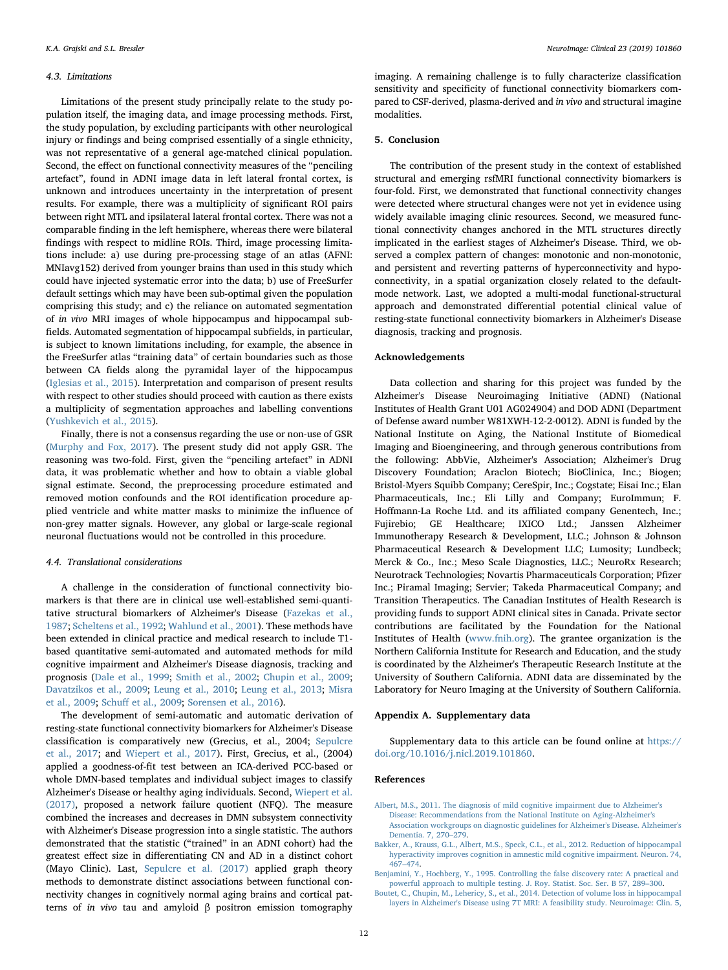#### 4.3. Limitations

Limitations of the present study principally relate to the study population itself, the imaging data, and image processing methods. First, the study population, by excluding participants with other neurological injury or findings and being comprised essentially of a single ethnicity, was not representative of a general age-matched clinical population. Second, the effect on functional connectivity measures of the "penciling artefact", found in ADNI image data in left lateral frontal cortex, is unknown and introduces uncertainty in the interpretation of present results. For example, there was a multiplicity of significant ROI pairs between right MTL and ipsilateral lateral frontal cortex. There was not a comparable finding in the left hemisphere, whereas there were bilateral findings with respect to midline ROIs. Third, image processing limitations include: a) use during pre-processing stage of an atlas (AFNI: MNIavg152) derived from younger brains than used in this study which could have injected systematic error into the data; b) use of FreeSurfer default settings which may have been sub-optimal given the population comprising this study; and c) the reliance on automated segmentation of in vivo MRI images of whole hippocampus and hippocampal subfields. Automated segmentation of hippocampal subfields, in particular, is subject to known limitations including, for example, the absence in the FreeSurfer atlas "training data" of certain boundaries such as those between CA fields along the pyramidal layer of the hippocampus ([Iglesias et al., 2015\)](#page-12-25). Interpretation and comparison of present results with respect to other studies should proceed with caution as there exists a multiplicity of segmentation approaches and labelling conventions ([Yushkevich et al., 2015](#page-12-44)).

Finally, there is not a consensus regarding the use or non-use of GSR ([Murphy and Fox, 2017\)](#page-12-45). The present study did not apply GSR. The reasoning was two-fold. First, given the "penciling artefact" in ADNI data, it was problematic whether and how to obtain a viable global signal estimate. Second, the preprocessing procedure estimated and removed motion confounds and the ROI identification procedure applied ventricle and white matter masks to minimize the influence of non-grey matter signals. However, any global or large-scale regional neuronal fluctuations would not be controlled in this procedure.

#### 4.4. Translational considerations

A challenge in the consideration of functional connectivity biomarkers is that there are in clinical use well-established semi-quantitative structural biomarkers of Alzheimer's Disease ([Fazekas et al.,](#page-12-46) [1987;](#page-12-46) [Scheltens et al., 1992;](#page-12-47) [Wahlund et al., 2001\)](#page-12-48). These methods have been extended in clinical practice and medical research to include T1 based quantitative semi-automated and automated methods for mild cognitive impairment and Alzheimer's Disease diagnosis, tracking and prognosis ([Dale et al., 1999;](#page-12-23) [Smith et al., 2002](#page-12-49); [Chupin et al., 2009](#page-12-50); [Davatzikos et al., 2009;](#page-12-31) [Leung et al., 2010](#page-12-51); [Leung et al., 2013;](#page-12-52) [Misra](#page-12-34) et [al., 2009](#page-12-34); Schuff [et al., 2009;](#page-12-37) [Sorensen et al., 2016\)](#page-12-38).

The development of semi-automatic and automatic derivation of resting-state functional connectivity biomarkers for Alzheimer's Disease classification is comparatively new (Grecius, et al., 2004; [Sepulcre](#page-12-43) [et al., 2017](#page-12-43); and [Wiepert et al., 2017](#page-12-53)). First, Grecius, et al., (2004) applied a goodness-of-fit test between an ICA-derived PCC-based or whole DMN-based templates and individual subject images to classify Alzheimer's Disease or healthy aging individuals. Second, [Wiepert et al.](#page-12-53) [\(2017\),](#page-12-53) proposed a network failure quotient (NFQ). The measure combined the increases and decreases in DMN subsystem connectivity with Alzheimer's Disease progression into a single statistic. The authors demonstrated that the statistic ("trained" in an ADNI cohort) had the greatest effect size in differentiating CN and AD in a distinct cohort (Mayo Clinic). Last, [Sepulcre et al. \(2017\)](#page-12-43) applied graph theory methods to demonstrate distinct associations between functional connectivity changes in cognitively normal aging brains and cortical patterns of in vivo tau and amyloid β positron emission tomography

imaging. A remaining challenge is to fully characterize classification sensitivity and specificity of functional connectivity biomarkers compared to CSF-derived, plasma-derived and in vivo and structural imagine modalities.

#### 5. Conclusion

The contribution of the present study in the context of established structural and emerging rsfMRI functional connectivity biomarkers is four-fold. First, we demonstrated that functional connectivity changes were detected where structural changes were not yet in evidence using widely available imaging clinic resources. Second, we measured functional connectivity changes anchored in the MTL structures directly implicated in the earliest stages of Alzheimer's Disease. Third, we observed a complex pattern of changes: monotonic and non-monotonic, and persistent and reverting patterns of hyperconnectivity and hypoconnectivity, in a spatial organization closely related to the defaultmode network. Last, we adopted a multi-modal functional-structural approach and demonstrated differential potential clinical value of resting-state functional connectivity biomarkers in Alzheimer's Disease diagnosis, tracking and prognosis.

#### Acknowledgements

Data collection and sharing for this project was funded by the Alzheimer's Disease Neuroimaging Initiative (ADNI) (National Institutes of Health Grant U01 AG024904) and DOD ADNI (Department of Defense award number W81XWH-12-2-0012). ADNI is funded by the National Institute on Aging, the National Institute of Biomedical Imaging and Bioengineering, and through generous contributions from the following: AbbVie, Alzheimer's Association; Alzheimer's Drug Discovery Foundation; Araclon Biotech; BioClinica, Inc.; Biogen; Bristol-Myers Squibb Company; CereSpir, Inc.; Cogstate; Eisai Inc.; Elan Pharmaceuticals, Inc.; Eli Lilly and Company; EuroImmun; F. Hoffmann-La Roche Ltd. and its affiliated company Genentech, Inc.; Fujirebio; GE Healthcare; IXICO Ltd.; Janssen Alzheimer Immunotherapy Research & Development, LLC.; Johnson & Johnson Pharmaceutical Research & Development LLC; Lumosity; Lundbeck; Merck & Co., Inc.; Meso Scale Diagnostics, LLC.; NeuroRx Research; Neurotrack Technologies; Novartis Pharmaceuticals Corporation; Pfizer Inc.; Piramal Imaging; Servier; Takeda Pharmaceutical Company; and Transition Therapeutics. The Canadian Institutes of Health Research is providing funds to support ADNI clinical sites in Canada. Private sector contributions are facilitated by the Foundation for the National Institutes of Health ([www.fnih.org\)](http://www.fnih.org). The grantee organization is the Northern California Institute for Research and Education, and the study is coordinated by the Alzheimer's Therapeutic Research Institute at the University of Southern California. ADNI data are disseminated by the Laboratory for Neuro Imaging at the University of Southern California.

# Appendix A. Supplementary data

Supplementary data to this article can be found online at [https://](https://doi.org/10.1016/j.nicl.2019.101860) [doi.org/10.1016/j.nicl.2019.101860.](https://doi.org/10.1016/j.nicl.2019.101860)

#### References

- <span id="page-11-0"></span>[Albert, M.S., 2011. The diagnosis of mild cognitive impairment due to Alzheimer's](http://refhub.elsevier.com/S2213-1582(19)30210-4/rf0005) [Disease: Recommendations from the National Institute on Aging-Alzheimer's](http://refhub.elsevier.com/S2213-1582(19)30210-4/rf0005) [Association workgroups on diagnostic guidelines for Alzheimer's Disease. Alzheimer's](http://refhub.elsevier.com/S2213-1582(19)30210-4/rf0005) [Dementia. 7, 270](http://refhub.elsevier.com/S2213-1582(19)30210-4/rf0005)–279.
- <span id="page-11-3"></span>[Bakker, A., Krauss, G.L., Albert, M.S., Speck, C.L., et al., 2012. Reduction of hippocampal](http://refhub.elsevier.com/S2213-1582(19)30210-4/rf0010) [hyperactivity improves cognition in amnestic mild cognitive impairment. Neuron. 74,](http://refhub.elsevier.com/S2213-1582(19)30210-4/rf0010) 467–[474](http://refhub.elsevier.com/S2213-1582(19)30210-4/rf0010).
- <span id="page-11-1"></span>[Benjamini, Y., Hochberg, Y., 1995. Controlling the false discovery rate: A practical and](http://refhub.elsevier.com/S2213-1582(19)30210-4/rf0015)
- <span id="page-11-2"></span>[powerful approach to multiple testing. J. Roy. Statist. Soc. Ser. B 57, 289](http://refhub.elsevier.com/S2213-1582(19)30210-4/rf0015)–300. [Boutet, C., Chupin, M., Lehericy, S., et al., 2014. Detection of volume loss in hippocampal](http://refhub.elsevier.com/S2213-1582(19)30210-4/rf0020) [layers in Alzheimer's Disease using 7T MRI: A feasibility study. Neuroimage: Clin. 5,](http://refhub.elsevier.com/S2213-1582(19)30210-4/rf0020)